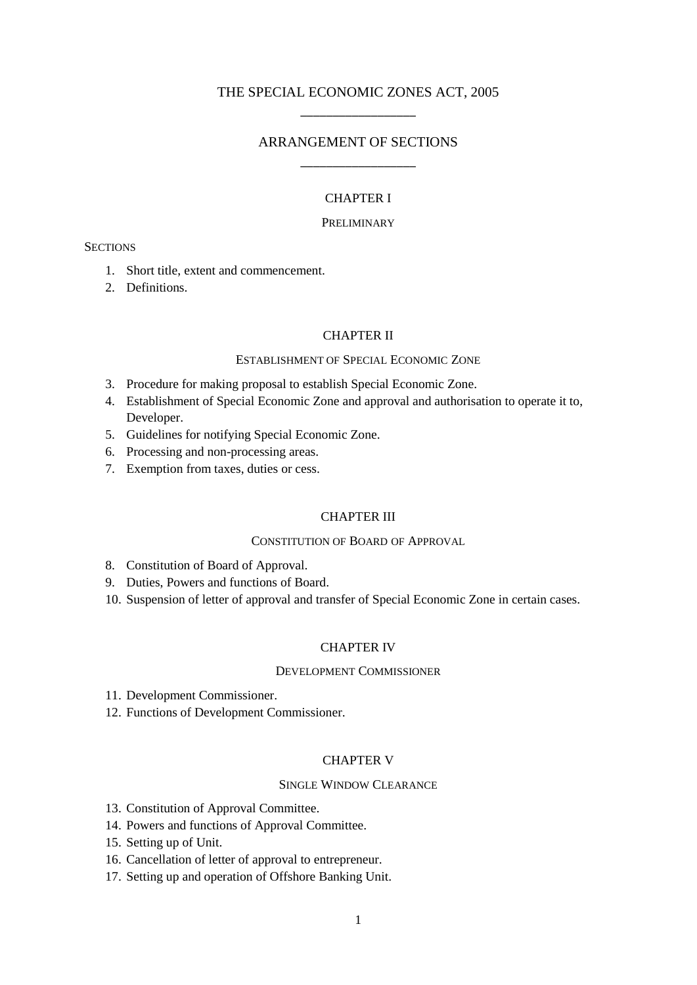# THE SPECIAL ECONOMIC ZONES ACT, 2005 \_\_\_\_\_\_\_\_\_\_\_\_\_\_\_\_\_\_

# ARRANGEMENT OF SECTIONS \_\_\_\_\_\_\_\_\_\_\_\_\_\_\_\_\_\_

# CHAPTER I

# PRELIMINARY

#### **SECTIONS**

- 1. Short title, extent and commencement.
- 2. Definitions.

# CHAPTER II

### ESTABLISHMENT OF SPECIAL ECONOMIC ZONE

- 3. Procedure for making proposal to establish Special Economic Zone.
- 4. Establishment of Special Economic Zone and approval and authorisation to operate it to, Developer.
- 5. Guidelines for notifying Special Economic Zone.
- 6. Processing and non-processing areas.
- 7. Exemption from taxes, duties or cess.

#### CHAPTER III

#### CONSTITUTION OF BOARD OF APPROVAL

- 8. Constitution of Board of Approval.
- 9. Duties, Powers and functions of Board.
- 10. Suspension of letter of approval and transfer of Special Economic Zone in certain cases.

### CHAPTER IV

### DEVELOPMENT COMMISSIONER

- 11. Development Commissioner.
- 12. Functions of Development Commissioner.

# CHAPTER V

### SINGLE WINDOW CLEARANCE

- 13. Constitution of Approval Committee.
- 14. Powers and functions of Approval Committee.
- 15. Setting up of Unit.
- 16. Cancellation of letter of approval to entrepreneur.
- 17. Setting up and operation of Offshore Banking Unit.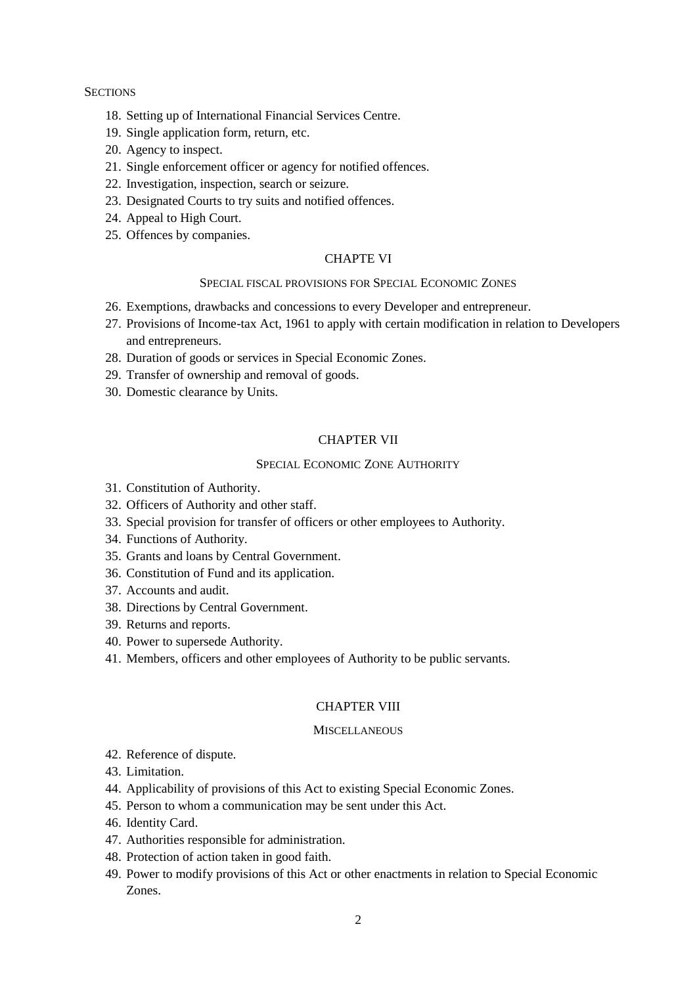### **SECTIONS**

- 18. Setting up of International Financial Services Centre.
- 19. Single application form, return, etc.
- 20. Agency to inspect.
- 21. Single enforcement officer or agency for notified offences.
- 22. Investigation, inspection, search or seizure.
- 23. Designated Courts to try suits and notified offences.
- 24. Appeal to High Court.
- 25. Offences by companies.

### CHAPTE VI

### SPECIAL FISCAL PROVISIONS FOR SPECIAL ECONOMIC ZONES

- 26. Exemptions, drawbacks and concessions to every Developer and entrepreneur.
- 27. Provisions of Income-tax Act, 1961 to apply with certain modification in relation to Developers and entrepreneurs.
- 28. Duration of goods or services in Special Economic Zones.
- 29. Transfer of ownership and removal of goods.
- 30. Domestic clearance by Units.

# CHAPTER VII

#### SPECIAL ECONOMIC ZONE AUTHORITY

- 31. Constitution of Authority.
- 32. Officers of Authority and other staff.
- 33. Special provision for transfer of officers or other employees to Authority.
- 34. Functions of Authority.
- 35. Grants and loans by Central Government.
- 36. Constitution of Fund and its application.
- 37. Accounts and audit.
- 38. Directions by Central Government.
- 39. Returns and reports.
- 40. Power to supersede Authority.
- 41. Members, officers and other employees of Authority to be public servants.

#### CHAPTER VIII

#### **MISCELLANEOUS**

- 42. Reference of dispute.
- 43. Limitation.
- 44. Applicability of provisions of this Act to existing Special Economic Zones.
- 45. Person to whom a communication may be sent under this Act.
- 46. Identity Card.
- 47. Authorities responsible for administration.
- 48. Protection of action taken in good faith.
- 49. Power to modify provisions of this Act or other enactments in relation to Special Economic Zones.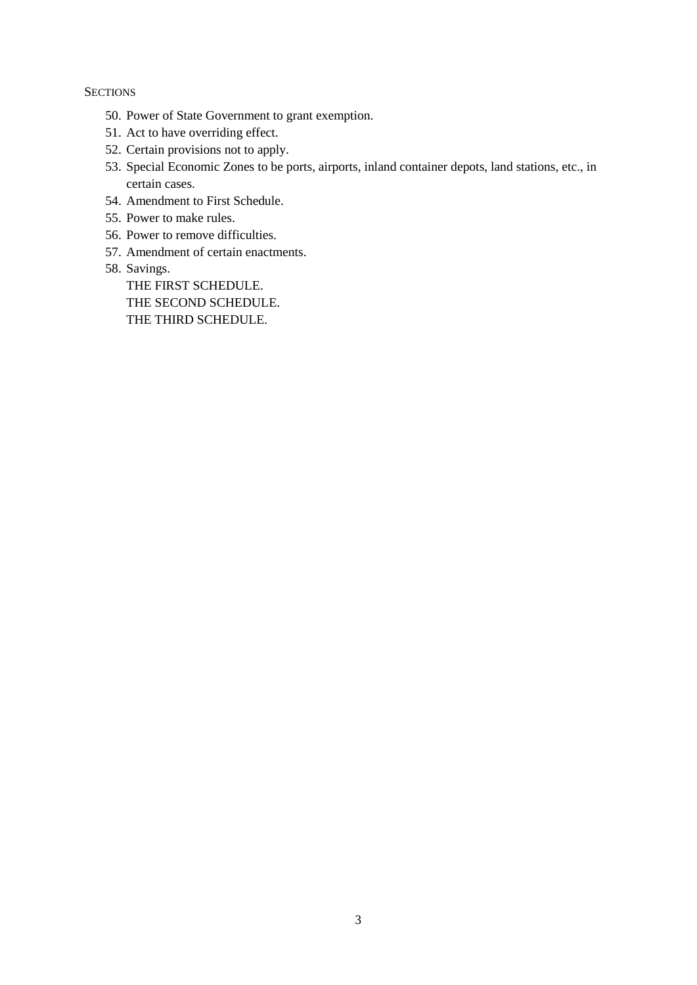# **SECTIONS**

- 50. Power of State Government to grant exemption.
- 51. Act to have overriding effect.
- 52. Certain provisions not to apply.
- 53. Special Economic Zones to be ports, airports, inland container depots, land stations, etc., in certain cases.
- 54. Amendment to First Schedule.
- 55. Power to make rules.
- 56. Power to remove difficulties.
- 57. Amendment of certain enactments.
- 58. Savings.

THE FIRST SCHEDULE. THE SECOND SCHEDULE. THE THIRD SCHEDULE.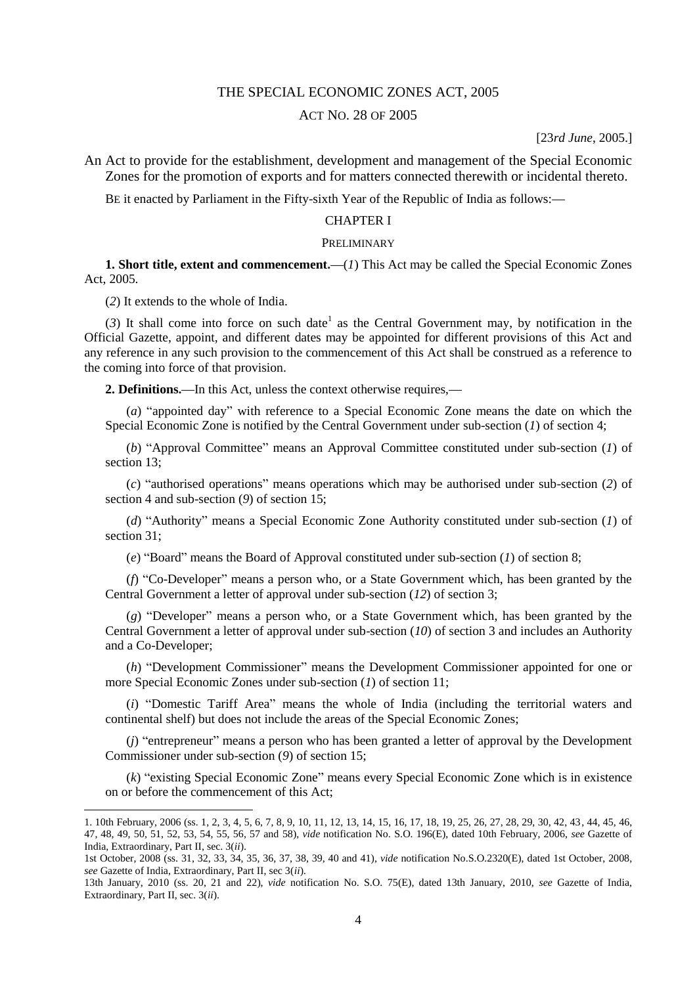# THE SPECIAL ECONOMIC ZONES ACT, 2005

# ACT NO. 28 OF 2005

### [23*rd June*, 2005.]

An Act to provide for the establishment, development and management of the Special Economic Zones for the promotion of exports and for matters connected therewith or incidental thereto.

BE it enacted by Parliament in the Fifty-sixth Year of the Republic of India as follows:**—**

#### CHAPTER I

### PRELIMINARY

**1. Short title, extent and commencement.—**(*1*) This Act may be called the Special Economic Zones Act, 2005.

(*2*) It extends to the whole of India.

1

 $(3)$  It shall come into force on such date<sup>1</sup> as the Central Government may, by notification in the Official Gazette, appoint, and different dates may be appointed for different provisions of this Act and any reference in any such provision to the commencement of this Act shall be construed as a reference to the coming into force of that provision.

**2. Definitions.—**In this Act, unless the context otherwise requires,**—**

(*a*) "appointed day" with reference to a Special Economic Zone means the date on which the Special Economic Zone is notified by the Central Government under sub-section (*1*) of section 4;

(*b*) "Approval Committee" means an Approval Committee constituted under sub-section (*1*) of section 13;

(*c*) "authorised operations" means operations which may be authorised under sub-section (*2*) of section 4 and sub-section (*9*) of section 15;

(*d*) "Authority" means a Special Economic Zone Authority constituted under sub-section (*1*) of section 31;

(*e*) "Board" means the Board of Approval constituted under sub-section (*1*) of section 8;

(*f*) "Co-Developer" means a person who, or a State Government which, has been granted by the Central Government a letter of approval under sub-section (*12*) of section 3;

(*g*) "Developer" means a person who, or a State Government which, has been granted by the Central Government a letter of approval under sub-section (*10*) of section 3 and includes an Authority and a Co-Developer;

(*h*) "Development Commissioner" means the Development Commissioner appointed for one or more Special Economic Zones under sub-section (*1*) of section 11;

(*i*) "Domestic Tariff Area" means the whole of India (including the territorial waters and continental shelf) but does not include the areas of the Special Economic Zones;

(*j*) "entrepreneur" means a person who has been granted a letter of approval by the Development Commissioner under sub-section (*9*) of section 15;

(*k*) "existing Special Economic Zone" means every Special Economic Zone which is in existence on or before the commencement of this Act;

<sup>1. 10</sup>th February, 2006 (ss. 1, 2, 3, 4, 5, 6, 7, 8, 9, 10, 11, 12, 13, 14, 15, 16, 17, 18, 19, 25, 26, 27, 28, 29, 30, 42, 43, 44, 45, 46, 47, 48, 49, 50, 51, 52, 53, 54, 55, 56, 57 and 58), *vide* notification No. S.O. 196(E), dated 10th February, 2006, *see* Gazette of India, Extraordinary, Part II, sec. 3(*ii*).

<sup>1</sup>st October, 2008 (ss. 31, 32, 33, 34, 35, 36, 37, 38, 39, 40 and 41), *vide* notification No.S.O.2320(E), dated 1st October, 2008, *see* Gazette of India, Extraordinary, Part II, sec 3(*ii*).

<sup>13</sup>th January, 2010 (ss. 20, 21 and 22), *vide* notification No. S.O. 75(E), dated 13th January, 2010, *see* Gazette of India, Extraordinary, Part II, sec. 3(*ii*).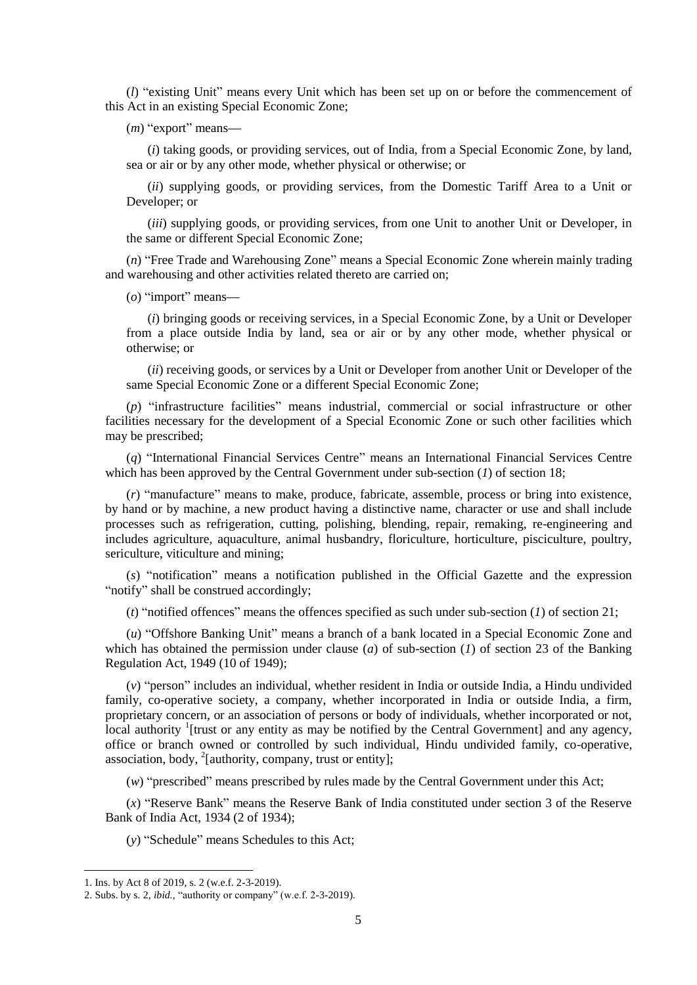(*l*) "existing Unit" means every Unit which has been set up on or before the commencement of this Act in an existing Special Economic Zone;

(*m*) "export" means**—**

(*i*) taking goods, or providing services, out of India, from a Special Economic Zone, by land, sea or air or by any other mode, whether physical or otherwise; or

(*ii*) supplying goods, or providing services, from the Domestic Tariff Area to a Unit or Developer; or

(*iii*) supplying goods, or providing services, from one Unit to another Unit or Developer, in the same or different Special Economic Zone;

(*n*) "Free Trade and Warehousing Zone" means a Special Economic Zone wherein mainly trading and warehousing and other activities related thereto are carried on;

(*o*) "import" means**—**

(*i*) bringing goods or receiving services, in a Special Economic Zone, by a Unit or Developer from a place outside India by land, sea or air or by any other mode, whether physical or otherwise; or

(*ii*) receiving goods, or services by a Unit or Developer from another Unit or Developer of the same Special Economic Zone or a different Special Economic Zone;

(*p*) "infrastructure facilities" means industrial, commercial or social infrastructure or other facilities necessary for the development of a Special Economic Zone or such other facilities which may be prescribed;

(*q*) "International Financial Services Centre" means an International Financial Services Centre which has been approved by the Central Government under sub-section (*1*) of section 18;

(*r*) "manufacture" means to make, produce, fabricate, assemble, process or bring into existence, by hand or by machine, a new product having a distinctive name, character or use and shall include processes such as refrigeration, cutting, polishing, blending, repair, remaking, re-engineering and includes agriculture, aquaculture, animal husbandry, floriculture, horticulture, pisciculture, poultry, sericulture, viticulture and mining;

(*s*) "notification" means a notification published in the Official Gazette and the expression "notify" shall be construed accordingly;

(*t*) "notified offences" means the offences specified as such under sub-section (*1*) of section 21;

(*u*) "Offshore Banking Unit" means a branch of a bank located in a Special Economic Zone and which has obtained the permission under clause (*a*) of sub-section (*1*) of section 23 of the Banking Regulation Act, 1949 (10 of 1949);

(*v*) "person" includes an individual, whether resident in India or outside India, a Hindu undivided family, co-operative society, a company, whether incorporated in India or outside India, a firm, proprietary concern, or an association of persons or body of individuals, whether incorporated or not, local authority <sup>1</sup>[trust or any entity as may be notified by the Central Government] and any agency, office or branch owned or controlled by such individual, Hindu undivided family, co-operative, association, body,  $^{2}$ [authority, company, trust or entity];

(*w*) "prescribed" means prescribed by rules made by the Central Government under this Act;

(*x*) "Reserve Bank" means the Reserve Bank of India constituted under section 3 of the Reserve Bank of India Act, 1934 (2 of 1934);

(*y*) "Schedule" means Schedules to this Act;

1

<sup>1.</sup> Ins. by Act 8 of 2019, s. 2 (w.e.f. 2-3-2019).

<sup>2.</sup> Subs. by s. 2, *ibid.,* "authority or company" (w.e.f. 2-3-2019).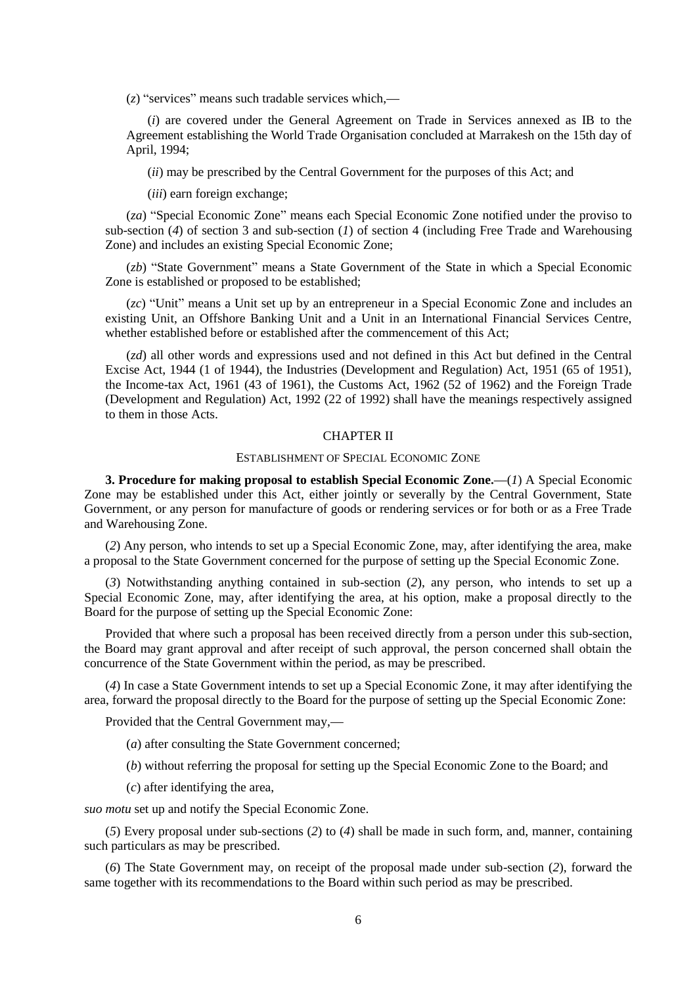(*z*) "services" means such tradable services which,**—**

(*i*) are covered under the General Agreement on Trade in Services annexed as IB to the Agreement establishing the World Trade Organisation concluded at Marrakesh on the 15th day of April, 1994;

(*ii*) may be prescribed by the Central Government for the purposes of this Act; and

(*iii*) earn foreign exchange;

(*za*) "Special Economic Zone" means each Special Economic Zone notified under the proviso to sub-section (*4*) of section 3 and sub-section (*1*) of section 4 (including Free Trade and Warehousing Zone) and includes an existing Special Economic Zone;

(*zb*) "State Government" means a State Government of the State in which a Special Economic Zone is established or proposed to be established;

(*zc*) "Unit" means a Unit set up by an entrepreneur in a Special Economic Zone and includes an existing Unit, an Offshore Banking Unit and a Unit in an International Financial Services Centre, whether established before or established after the commencement of this Act;

(*zd*) all other words and expressions used and not defined in this Act but defined in the Central Excise Act, 1944 (1 of 1944), the Industries (Development and Regulation) Act, 1951 (65 of 1951), the Income-tax Act, 1961 (43 of 1961), the Customs Act, 1962 (52 of 1962) and the Foreign Trade (Development and Regulation) Act, 1992 (22 of 1992) shall have the meanings respectively assigned to them in those Acts.

#### CHAPTER II

### ESTABLISHMENT OF SPECIAL ECONOMIC ZONE

**3. Procedure for making proposal to establish Special Economic Zone.—**(*1*) A Special Economic Zone may be established under this Act, either jointly or severally by the Central Government, State Government, or any person for manufacture of goods or rendering services or for both or as a Free Trade and Warehousing Zone.

(*2*) Any person, who intends to set up a Special Economic Zone, may, after identifying the area, make a proposal to the State Government concerned for the purpose of setting up the Special Economic Zone.

(*3*) Notwithstanding anything contained in sub-section (*2*), any person, who intends to set up a Special Economic Zone, may, after identifying the area, at his option, make a proposal directly to the Board for the purpose of setting up the Special Economic Zone:

Provided that where such a proposal has been received directly from a person under this sub-section, the Board may grant approval and after receipt of such approval, the person concerned shall obtain the concurrence of the State Government within the period, as may be prescribed.

(*4*) In case a State Government intends to set up a Special Economic Zone, it may after identifying the area, forward the proposal directly to the Board for the purpose of setting up the Special Economic Zone:

Provided that the Central Government may,**—**

(*a*) after consulting the State Government concerned;

(*b*) without referring the proposal for setting up the Special Economic Zone to the Board; and

(*c*) after identifying the area,

*suo motu* set up and notify the Special Economic Zone.

(*5*) Every proposal under sub-sections (*2*) to (*4*) shall be made in such form, and, manner, containing such particulars as may be prescribed.

(*6*) The State Government may, on receipt of the proposal made under sub-section (*2*), forward the same together with its recommendations to the Board within such period as may be prescribed.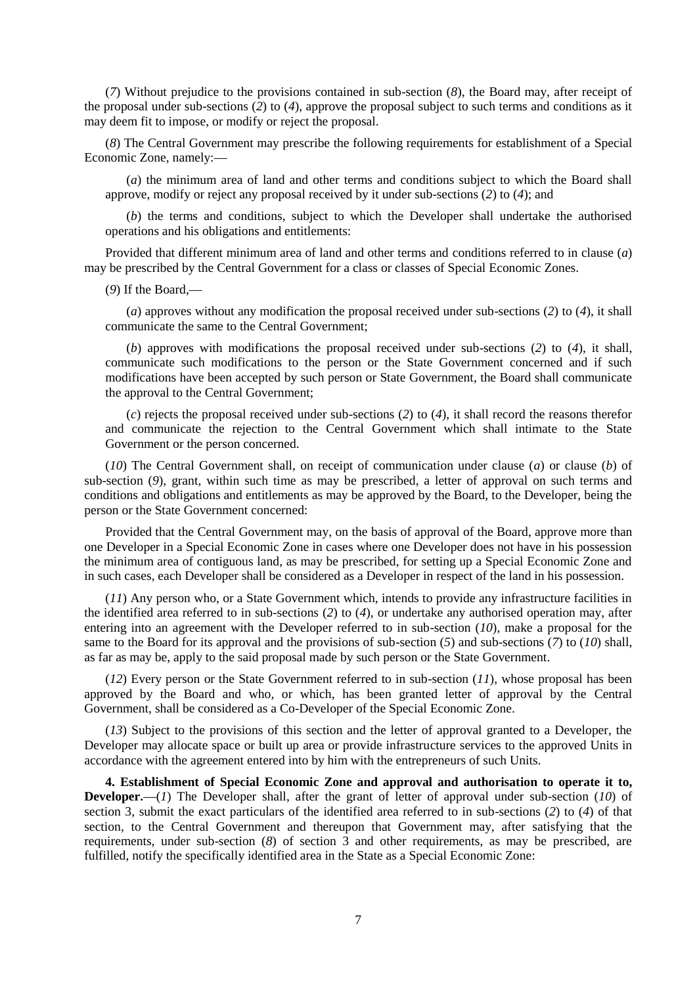(*7*) Without prejudice to the provisions contained in sub-section (*8*), the Board may, after receipt of the proposal under sub-sections (*2*) to (*4*), approve the proposal subject to such terms and conditions as it may deem fit to impose, or modify or reject the proposal.

(*8*) The Central Government may prescribe the following requirements for establishment of a Special Economic Zone, namely:**—**

(*a*) the minimum area of land and other terms and conditions subject to which the Board shall approve, modify or reject any proposal received by it under sub-sections (*2*) to (*4*); and

(*b*) the terms and conditions, subject to which the Developer shall undertake the authorised operations and his obligations and entitlements:

Provided that different minimum area of land and other terms and conditions referred to in clause (*a*) may be prescribed by the Central Government for a class or classes of Special Economic Zones.

(*9*) If the Board,**—**

(*a*) approves without any modification the proposal received under sub-sections (*2*) to (*4*), it shall communicate the same to the Central Government;

(*b*) approves with modifications the proposal received under sub-sections (*2*) to (*4*), it shall, communicate such modifications to the person or the State Government concerned and if such modifications have been accepted by such person or State Government, the Board shall communicate the approval to the Central Government;

(*c*) rejects the proposal received under sub-sections (*2*) to (*4*), it shall record the reasons therefor and communicate the rejection to the Central Government which shall intimate to the State Government or the person concerned.

(*10*) The Central Government shall, on receipt of communication under clause (*a*) or clause (*b*) of sub-section (*9*), grant, within such time as may be prescribed, a letter of approval on such terms and conditions and obligations and entitlements as may be approved by the Board, to the Developer, being the person or the State Government concerned:

Provided that the Central Government may, on the basis of approval of the Board, approve more than one Developer in a Special Economic Zone in cases where one Developer does not have in his possession the minimum area of contiguous land, as may be prescribed, for setting up a Special Economic Zone and in such cases, each Developer shall be considered as a Developer in respect of the land in his possession.

(*11*) Any person who, or a State Government which, intends to provide any infrastructure facilities in the identified area referred to in sub-sections (*2*) to (*4*), or undertake any authorised operation may, after entering into an agreement with the Developer referred to in sub-section (*10*), make a proposal for the same to the Board for its approval and the provisions of sub-section (*5*) and sub-sections (*7*) to (*10*) shall, as far as may be, apply to the said proposal made by such person or the State Government.

(*12*) Every person or the State Government referred to in sub-section (*11*), whose proposal has been approved by the Board and who, or which, has been granted letter of approval by the Central Government, shall be considered as a Co-Developer of the Special Economic Zone.

(*13*) Subject to the provisions of this section and the letter of approval granted to a Developer, the Developer may allocate space or built up area or provide infrastructure services to the approved Units in accordance with the agreement entered into by him with the entrepreneurs of such Units.

**4. Establishment of Special Economic Zone and approval and authorisation to operate it to, Developer.**—(*1*) The Developer shall, after the grant of letter of approval under sub-section (*10*) of section 3, submit the exact particulars of the identified area referred to in sub-sections (*2*) to (*4*) of that section, to the Central Government and thereupon that Government may, after satisfying that the requirements, under sub-section (*8*) of section 3 and other requirements, as may be prescribed, are fulfilled, notify the specifically identified area in the State as a Special Economic Zone: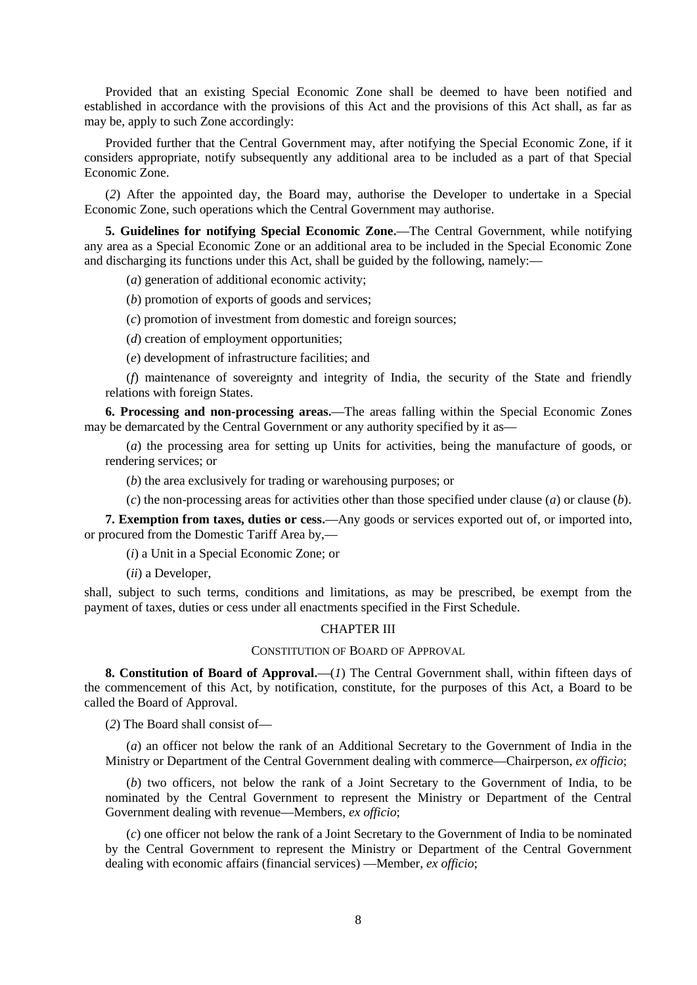Provided that an existing Special Economic Zone shall be deemed to have been notified and established in accordance with the provisions of this Act and the provisions of this Act shall, as far as may be, apply to such Zone accordingly:

Provided further that the Central Government may, after notifying the Special Economic Zone, if it considers appropriate, notify subsequently any additional area to be included as a part of that Special Economic Zone.

(*2*) After the appointed day, the Board may, authorise the Developer to undertake in a Special Economic Zone, such operations which the Central Government may authorise.

**5. Guidelines for notifying Special Economic Zone.—**The Central Government, while notifying any area as a Special Economic Zone or an additional area to be included in the Special Economic Zone and discharging its functions under this Act, shall be guided by the following, namely:**—**

(*a*) generation of additional economic activity;

(*b*) promotion of exports of goods and services;

(*c*) promotion of investment from domestic and foreign sources;

(*d*) creation of employment opportunities;

(*e*) development of infrastructure facilities; and

(*f*) maintenance of sovereignty and integrity of India, the security of the State and friendly relations with foreign States.

**6. Processing and non-processing areas.—**The areas falling within the Special Economic Zones may be demarcated by the Central Government or any authority specified by it as**—**

(*a*) the processing area for setting up Units for activities, being the manufacture of goods, or rendering services; or

(*b*) the area exclusively for trading or warehousing purposes; or

(*c*) the non-processing areas for activities other than those specified under clause (*a*) or clause (*b*).

**7. Exemption from taxes, duties or cess.—**Any goods or services exported out of, or imported into, or procured from the Domestic Tariff Area by,**—**

(*i*) a Unit in a Special Economic Zone; or

(*ii*) a Developer,

shall, subject to such terms, conditions and limitations, as may be prescribed, be exempt from the payment of taxes, duties or cess under all enactments specified in the First Schedule.

### CHAPTER III

### CONSTITUTION OF BOARD OF APPROVAL

**8. Constitution of Board of Approval.—**(*1*) The Central Government shall, within fifteen days of the commencement of this Act, by notification, constitute, for the purposes of this Act, a Board to be called the Board of Approval.

(*2*) The Board shall consist of**—**

(*a*) an officer not below the rank of an Additional Secretary to the Government of India in the Ministry or Department of the Central Government dealing with commerce**—**Chairperson, *ex officio*;

(*b*) two officers, not below the rank of a Joint Secretary to the Government of India, to be nominated by the Central Government to represent the Ministry or Department of the Central Government dealing with revenue**—**Members, *ex officio*;

(*c*) one officer not below the rank of a Joint Secretary to the Government of India to be nominated by the Central Government to represent the Ministry or Department of the Central Government dealing with economic affairs (financial services) **—**Member, *ex officio*;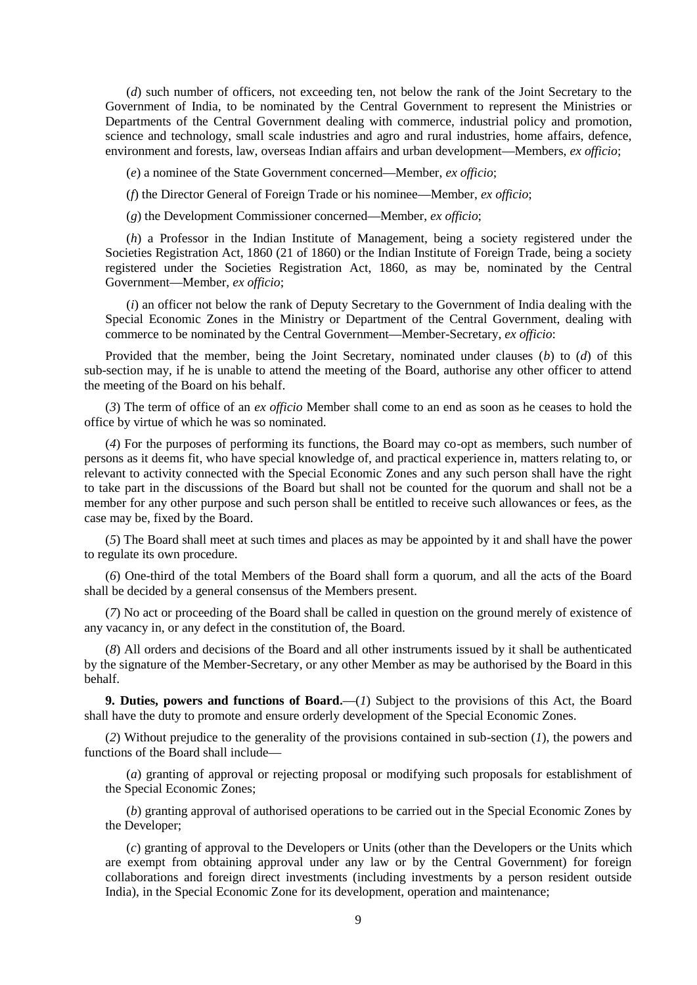(*d*) such number of officers, not exceeding ten, not below the rank of the Joint Secretary to the Government of India, to be nominated by the Central Government to represent the Ministries or Departments of the Central Government dealing with commerce, industrial policy and promotion, science and technology, small scale industries and agro and rural industries, home affairs, defence, environment and forests, law, overseas Indian affairs and urban development**—**Members, *ex officio*;

(*e*) a nominee of the State Government concerned**—**Member, *ex officio*;

(*f*) the Director General of Foreign Trade or his nominee**—**Member, *ex officio*;

(*g*) the Development Commissioner concerned**—**Member, *ex officio*;

(*h*) a Professor in the Indian Institute of Management, being a society registered under the Societies Registration Act, 1860 (21 of 1860) or the Indian Institute of Foreign Trade, being a society registered under the Societies Registration Act, 1860, as may be, nominated by the Central Government**—**Member, *ex officio*;

(*i*) an officer not below the rank of Deputy Secretary to the Government of India dealing with the Special Economic Zones in the Ministry or Department of the Central Government, dealing with commerce to be nominated by the Central Government**—**Member-Secretary, *ex officio*:

Provided that the member, being the Joint Secretary, nominated under clauses (*b*) to (*d*) of this sub-section may, if he is unable to attend the meeting of the Board, authorise any other officer to attend the meeting of the Board on his behalf.

(*3*) The term of office of an *ex officio* Member shall come to an end as soon as he ceases to hold the office by virtue of which he was so nominated.

(*4*) For the purposes of performing its functions, the Board may co-opt as members, such number of persons as it deems fit, who have special knowledge of, and practical experience in, matters relating to, or relevant to activity connected with the Special Economic Zones and any such person shall have the right to take part in the discussions of the Board but shall not be counted for the quorum and shall not be a member for any other purpose and such person shall be entitled to receive such allowances or fees, as the case may be, fixed by the Board.

(*5*) The Board shall meet at such times and places as may be appointed by it and shall have the power to regulate its own procedure.

(*6*) One-third of the total Members of the Board shall form a quorum, and all the acts of the Board shall be decided by a general consensus of the Members present.

(*7*) No act or proceeding of the Board shall be called in question on the ground merely of existence of any vacancy in, or any defect in the constitution of, the Board.

(*8*) All orders and decisions of the Board and all other instruments issued by it shall be authenticated by the signature of the Member-Secretary, or any other Member as may be authorised by the Board in this behalf.

**9. Duties, powers and functions of Board.—**(*1*) Subject to the provisions of this Act, the Board shall have the duty to promote and ensure orderly development of the Special Economic Zones.

(*2*) Without prejudice to the generality of the provisions contained in sub-section (*1*), the powers and functions of the Board shall include**—**

(*a*) granting of approval or rejecting proposal or modifying such proposals for establishment of the Special Economic Zones;

(*b*) granting approval of authorised operations to be carried out in the Special Economic Zones by the Developer;

(*c*) granting of approval to the Developers or Units (other than the Developers or the Units which are exempt from obtaining approval under any law or by the Central Government) for foreign collaborations and foreign direct investments (including investments by a person resident outside India), in the Special Economic Zone for its development, operation and maintenance;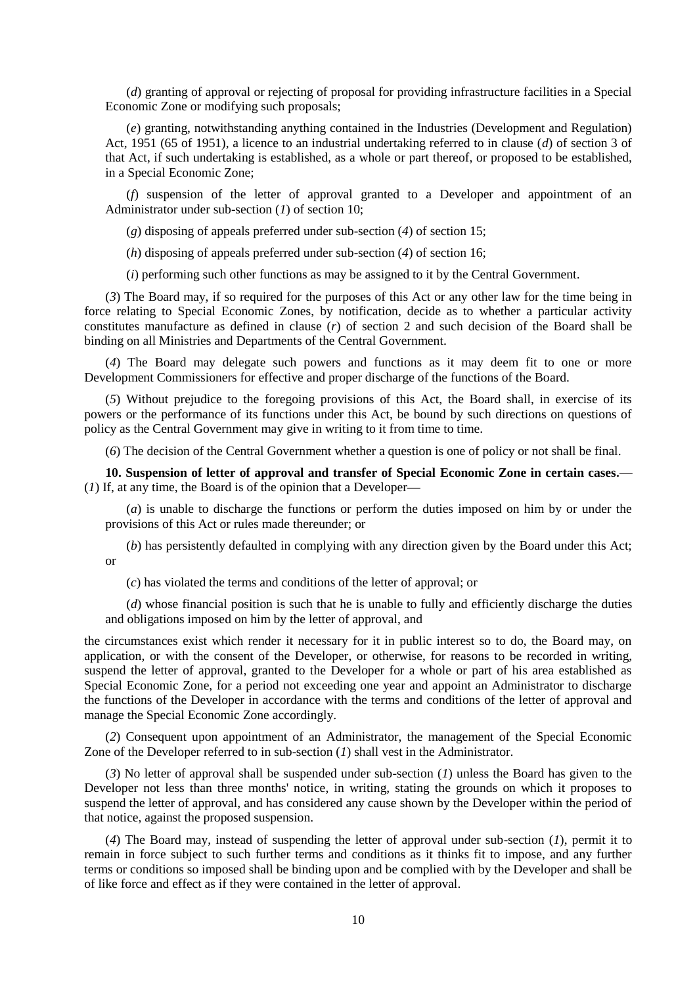(*d*) granting of approval or rejecting of proposal for providing infrastructure facilities in a Special Economic Zone or modifying such proposals;

(*e*) granting, notwithstanding anything contained in the Industries (Development and Regulation) Act, 1951 (65 of 1951), a licence to an industrial undertaking referred to in clause (*d*) of section 3 of that Act, if such undertaking is established, as a whole or part thereof, or proposed to be established, in a Special Economic Zone;

(*f*) suspension of the letter of approval granted to a Developer and appointment of an Administrator under sub-section (*1*) of section 10;

(*g*) disposing of appeals preferred under sub-section (*4*) of section 15;

(*h*) disposing of appeals preferred under sub-section (*4*) of section 16;

(*i*) performing such other functions as may be assigned to it by the Central Government.

(*3*) The Board may, if so required for the purposes of this Act or any other law for the time being in force relating to Special Economic Zones, by notification, decide as to whether a particular activity constitutes manufacture as defined in clause (*r*) of section 2 and such decision of the Board shall be binding on all Ministries and Departments of the Central Government.

(*4*) The Board may delegate such powers and functions as it may deem fit to one or more Development Commissioners for effective and proper discharge of the functions of the Board.

(*5*) Without prejudice to the foregoing provisions of this Act, the Board shall, in exercise of its powers or the performance of its functions under this Act, be bound by such directions on questions of policy as the Central Government may give in writing to it from time to time.

(*6*) The decision of the Central Government whether a question is one of policy or not shall be final.

**10. Suspension of letter of approval and transfer of Special Economic Zone in certain cases.—** (*1*) If, at any time, the Board is of the opinion that a Developer**—**

(*a*) is unable to discharge the functions or perform the duties imposed on him by or under the provisions of this Act or rules made thereunder; or

(*b*) has persistently defaulted in complying with any direction given by the Board under this Act; or

(*c*) has violated the terms and conditions of the letter of approval; or

(*d*) whose financial position is such that he is unable to fully and efficiently discharge the duties and obligations imposed on him by the letter of approval, and

the circumstances exist which render it necessary for it in public interest so to do, the Board may, on application, or with the consent of the Developer, or otherwise, for reasons to be recorded in writing, suspend the letter of approval, granted to the Developer for a whole or part of his area established as Special Economic Zone, for a period not exceeding one year and appoint an Administrator to discharge the functions of the Developer in accordance with the terms and conditions of the letter of approval and manage the Special Economic Zone accordingly.

(*2*) Consequent upon appointment of an Administrator, the management of the Special Economic Zone of the Developer referred to in sub-section (*1*) shall vest in the Administrator.

(*3*) No letter of approval shall be suspended under sub-section (*1*) unless the Board has given to the Developer not less than three months' notice, in writing, stating the grounds on which it proposes to suspend the letter of approval, and has considered any cause shown by the Developer within the period of that notice, against the proposed suspension.

(*4*) The Board may, instead of suspending the letter of approval under sub-section (*1*), permit it to remain in force subject to such further terms and conditions as it thinks fit to impose, and any further terms or conditions so imposed shall be binding upon and be complied with by the Developer and shall be of like force and effect as if they were contained in the letter of approval.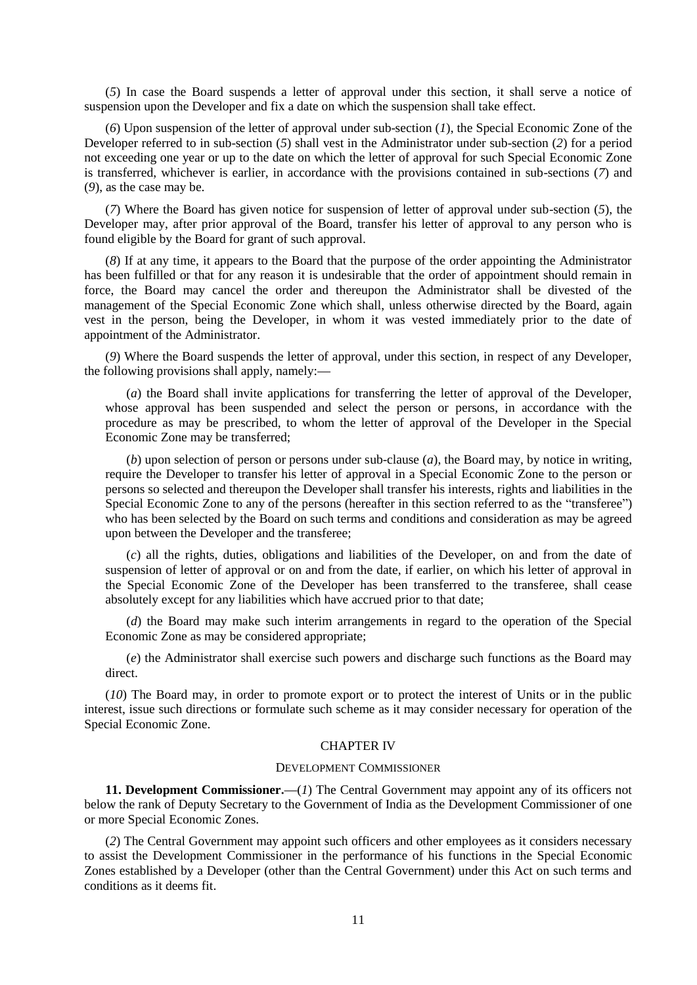(*5*) In case the Board suspends a letter of approval under this section, it shall serve a notice of suspension upon the Developer and fix a date on which the suspension shall take effect.

(*6*) Upon suspension of the letter of approval under sub-section (*1*), the Special Economic Zone of the Developer referred to in sub-section (*5*) shall vest in the Administrator under sub-section (*2*) for a period not exceeding one year or up to the date on which the letter of approval for such Special Economic Zone is transferred, whichever is earlier, in accordance with the provisions contained in sub-sections (*7*) and (*9*), as the case may be.

(*7*) Where the Board has given notice for suspension of letter of approval under sub-section (*5*), the Developer may, after prior approval of the Board, transfer his letter of approval to any person who is found eligible by the Board for grant of such approval.

(*8*) If at any time, it appears to the Board that the purpose of the order appointing the Administrator has been fulfilled or that for any reason it is undesirable that the order of appointment should remain in force, the Board may cancel the order and thereupon the Administrator shall be divested of the management of the Special Economic Zone which shall, unless otherwise directed by the Board, again vest in the person, being the Developer, in whom it was vested immediately prior to the date of appointment of the Administrator.

(*9*) Where the Board suspends the letter of approval, under this section, in respect of any Developer, the following provisions shall apply, namely:**—**

(*a*) the Board shall invite applications for transferring the letter of approval of the Developer, whose approval has been suspended and select the person or persons, in accordance with the procedure as may be prescribed, to whom the letter of approval of the Developer in the Special Economic Zone may be transferred;

(*b*) upon selection of person or persons under sub-clause (*a*), the Board may, by notice in writing, require the Developer to transfer his letter of approval in a Special Economic Zone to the person or persons so selected and thereupon the Developer shall transfer his interests, rights and liabilities in the Special Economic Zone to any of the persons (hereafter in this section referred to as the "transferee") who has been selected by the Board on such terms and conditions and consideration as may be agreed upon between the Developer and the transferee;

(*c*) all the rights, duties, obligations and liabilities of the Developer, on and from the date of suspension of letter of approval or on and from the date, if earlier, on which his letter of approval in the Special Economic Zone of the Developer has been transferred to the transferee, shall cease absolutely except for any liabilities which have accrued prior to that date;

(*d*) the Board may make such interim arrangements in regard to the operation of the Special Economic Zone as may be considered appropriate;

(*e*) the Administrator shall exercise such powers and discharge such functions as the Board may direct.

(*10*) The Board may, in order to promote export or to protect the interest of Units or in the public interest, issue such directions or formulate such scheme as it may consider necessary for operation of the Special Economic Zone.

### CHAPTER IV

#### DEVELOPMENT COMMISSIONER

**11. Development Commissioner.—**(*1*) The Central Government may appoint any of its officers not below the rank of Deputy Secretary to the Government of India as the Development Commissioner of one or more Special Economic Zones.

(*2*) The Central Government may appoint such officers and other employees as it considers necessary to assist the Development Commissioner in the performance of his functions in the Special Economic Zones established by a Developer (other than the Central Government) under this Act on such terms and conditions as it deems fit.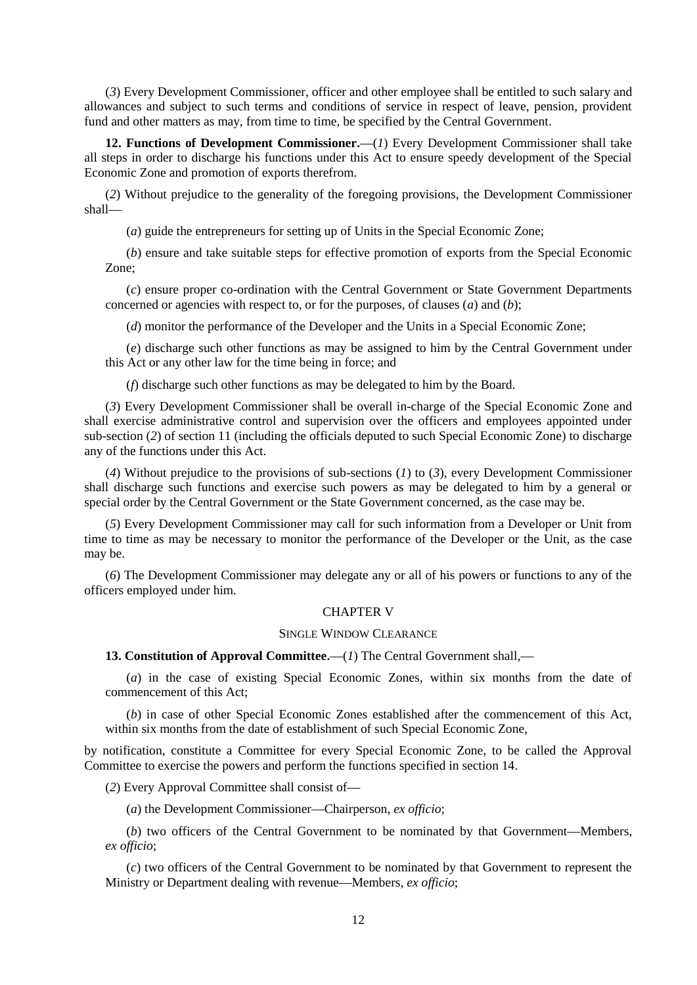(*3*) Every Development Commissioner, officer and other employee shall be entitled to such salary and allowances and subject to such terms and conditions of service in respect of leave, pension, provident fund and other matters as may, from time to time, be specified by the Central Government.

**12. Functions of Development Commissioner.—**(*1*) Every Development Commissioner shall take all steps in order to discharge his functions under this Act to ensure speedy development of the Special Economic Zone and promotion of exports therefrom.

(*2*) Without prejudice to the generality of the foregoing provisions, the Development Commissioner shall**—**

(*a*) guide the entrepreneurs for setting up of Units in the Special Economic Zone;

(*b*) ensure and take suitable steps for effective promotion of exports from the Special Economic Zone;

(*c*) ensure proper co-ordination with the Central Government or State Government Departments concerned or agencies with respect to, or for the purposes, of clauses (*a*) and (*b*);

(*d*) monitor the performance of the Developer and the Units in a Special Economic Zone;

(*e*) discharge such other functions as may be assigned to him by the Central Government under this Act or any other law for the time being in force; and

(*f*) discharge such other functions as may be delegated to him by the Board.

(*3*) Every Development Commissioner shall be overall in-charge of the Special Economic Zone and shall exercise administrative control and supervision over the officers and employees appointed under sub-section (*2*) of section 11 (including the officials deputed to such Special Economic Zone) to discharge any of the functions under this Act.

(*4*) Without prejudice to the provisions of sub-sections (*1*) to (*3*), every Development Commissioner shall discharge such functions and exercise such powers as may be delegated to him by a general or special order by the Central Government or the State Government concerned, as the case may be.

(*5*) Every Development Commissioner may call for such information from a Developer or Unit from time to time as may be necessary to monitor the performance of the Developer or the Unit, as the case may be.

(*6*) The Development Commissioner may delegate any or all of his powers or functions to any of the officers employed under him.

### CHAPTER V

### SINGLE WINDOW CLEARANCE

### **13. Constitution of Approval Committee.—**(*1*) The Central Government shall,**—**

(*a*) in the case of existing Special Economic Zones, within six months from the date of commencement of this Act;

(*b*) in case of other Special Economic Zones established after the commencement of this Act, within six months from the date of establishment of such Special Economic Zone,

by notification, constitute a Committee for every Special Economic Zone, to be called the Approval Committee to exercise the powers and perform the functions specified in section 14.

(*2*) Every Approval Committee shall consist of**—**

(*a*) the Development Commissioner**—**Chairperson, *ex officio*;

(*b*) two officers of the Central Government to be nominated by that Government**—**Members, *ex officio*;

(*c*) two officers of the Central Government to be nominated by that Government to represent the Ministry or Department dealing with revenue**—**Members, *ex officio*;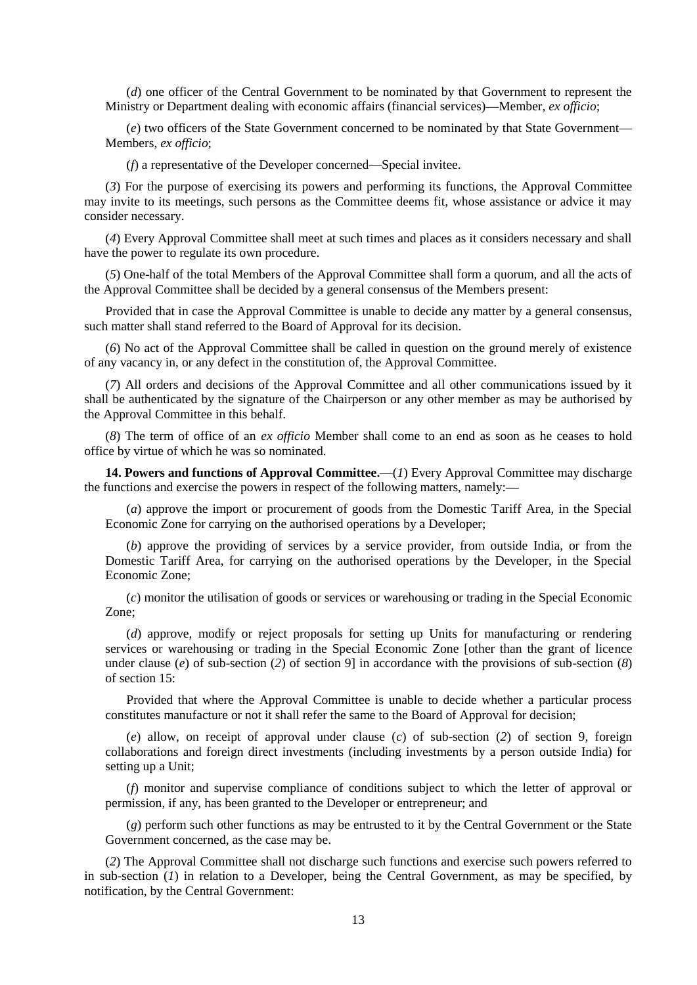(*d*) one officer of the Central Government to be nominated by that Government to represent the Ministry or Department dealing with economic affairs (financial services)**—**Member, *ex officio*;

(*e*) two officers of the State Government concerned to be nominated by that State Government**—** Members, *ex officio*;

(*f*) a representative of the Developer concerned**—**Special invitee.

(*3*) For the purpose of exercising its powers and performing its functions, the Approval Committee may invite to its meetings, such persons as the Committee deems fit, whose assistance or advice it may consider necessary.

(*4*) Every Approval Committee shall meet at such times and places as it considers necessary and shall have the power to regulate its own procedure.

(*5*) One-half of the total Members of the Approval Committee shall form a quorum, and all the acts of the Approval Committee shall be decided by a general consensus of the Members present:

Provided that in case the Approval Committee is unable to decide any matter by a general consensus, such matter shall stand referred to the Board of Approval for its decision.

(*6*) No act of the Approval Committee shall be called in question on the ground merely of existence of any vacancy in, or any defect in the constitution of, the Approval Committee.

(*7*) All orders and decisions of the Approval Committee and all other communications issued by it shall be authenticated by the signature of the Chairperson or any other member as may be authorised by the Approval Committee in this behalf.

(*8*) The term of office of an *ex officio* Member shall come to an end as soon as he ceases to hold office by virtue of which he was so nominated.

**14. Powers and functions of Approval Committee.—**(*1*) Every Approval Committee may discharge the functions and exercise the powers in respect of the following matters, namely:**—**

(*a*) approve the import or procurement of goods from the Domestic Tariff Area, in the Special Economic Zone for carrying on the authorised operations by a Developer;

(*b*) approve the providing of services by a service provider, from outside India, or from the Domestic Tariff Area, for carrying on the authorised operations by the Developer, in the Special Economic Zone;

(*c*) monitor the utilisation of goods or services or warehousing or trading in the Special Economic Zone;

(*d*) approve, modify or reject proposals for setting up Units for manufacturing or rendering services or warehousing or trading in the Special Economic Zone [other than the grant of licence under clause (*e*) of sub-section (*2*) of section 9] in accordance with the provisions of sub-section (*8*) of section 15:

Provided that where the Approval Committee is unable to decide whether a particular process constitutes manufacture or not it shall refer the same to the Board of Approval for decision;

(*e*) allow, on receipt of approval under clause (*c*) of sub-section (*2*) of section 9, foreign collaborations and foreign direct investments (including investments by a person outside India) for setting up a Unit;

(*f*) monitor and supervise compliance of conditions subject to which the letter of approval or permission, if any, has been granted to the Developer or entrepreneur; and

(*g*) perform such other functions as may be entrusted to it by the Central Government or the State Government concerned, as the case may be.

(*2*) The Approval Committee shall not discharge such functions and exercise such powers referred to in sub-section (*1*) in relation to a Developer, being the Central Government, as may be specified, by notification, by the Central Government: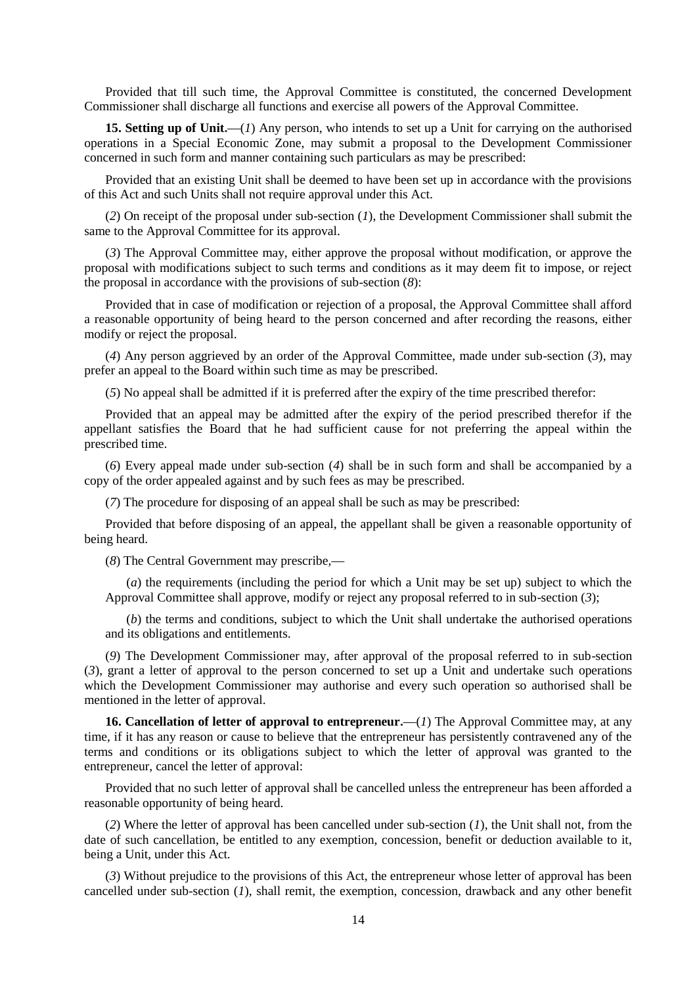Provided that till such time, the Approval Committee is constituted, the concerned Development Commissioner shall discharge all functions and exercise all powers of the Approval Committee.

**15. Setting up of Unit.—**(*1*) Any person, who intends to set up a Unit for carrying on the authorised operations in a Special Economic Zone, may submit a proposal to the Development Commissioner concerned in such form and manner containing such particulars as may be prescribed:

Provided that an existing Unit shall be deemed to have been set up in accordance with the provisions of this Act and such Units shall not require approval under this Act.

(*2*) On receipt of the proposal under sub-section (*1*), the Development Commissioner shall submit the same to the Approval Committee for its approval.

(*3*) The Approval Committee may, either approve the proposal without modification, or approve the proposal with modifications subject to such terms and conditions as it may deem fit to impose, or reject the proposal in accordance with the provisions of sub-section (*8*):

Provided that in case of modification or rejection of a proposal, the Approval Committee shall afford a reasonable opportunity of being heard to the person concerned and after recording the reasons, either modify or reject the proposal.

(*4*) Any person aggrieved by an order of the Approval Committee, made under sub-section (*3*), may prefer an appeal to the Board within such time as may be prescribed.

(*5*) No appeal shall be admitted if it is preferred after the expiry of the time prescribed therefor:

Provided that an appeal may be admitted after the expiry of the period prescribed therefor if the appellant satisfies the Board that he had sufficient cause for not preferring the appeal within the prescribed time.

(*6*) Every appeal made under sub-section (*4*) shall be in such form and shall be accompanied by a copy of the order appealed against and by such fees as may be prescribed.

(*7*) The procedure for disposing of an appeal shall be such as may be prescribed:

Provided that before disposing of an appeal, the appellant shall be given a reasonable opportunity of being heard.

(*8*) The Central Government may prescribe,**—**

(*a*) the requirements (including the period for which a Unit may be set up) subject to which the Approval Committee shall approve, modify or reject any proposal referred to in sub-section (*3*);

(*b*) the terms and conditions, subject to which the Unit shall undertake the authorised operations and its obligations and entitlements.

(*9*) The Development Commissioner may, after approval of the proposal referred to in sub-section (*3*), grant a letter of approval to the person concerned to set up a Unit and undertake such operations which the Development Commissioner may authorise and every such operation so authorised shall be mentioned in the letter of approval.

**16. Cancellation of letter of approval to entrepreneur.** (*1*) The Approval Committee may, at any time, if it has any reason or cause to believe that the entrepreneur has persistently contravened any of the terms and conditions or its obligations subject to which the letter of approval was granted to the entrepreneur, cancel the letter of approval:

Provided that no such letter of approval shall be cancelled unless the entrepreneur has been afforded a reasonable opportunity of being heard.

(*2*) Where the letter of approval has been cancelled under sub-section (*1*), the Unit shall not, from the date of such cancellation, be entitled to any exemption, concession, benefit or deduction available to it, being a Unit, under this Act.

(*3*) Without prejudice to the provisions of this Act, the entrepreneur whose letter of approval has been cancelled under sub-section (*1*), shall remit, the exemption, concession, drawback and any other benefit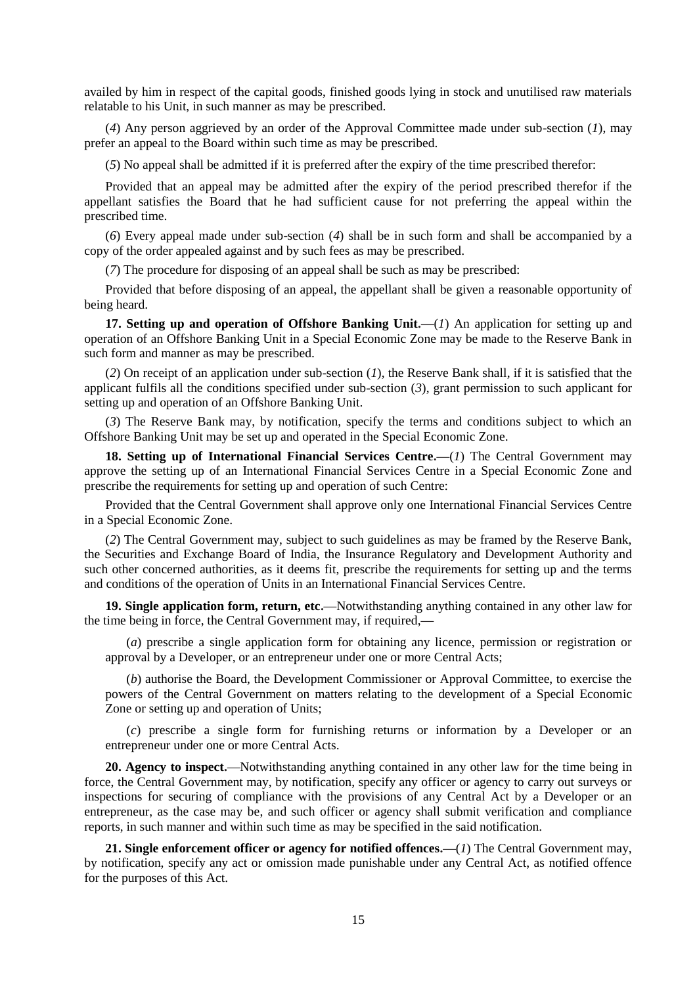availed by him in respect of the capital goods, finished goods lying in stock and unutilised raw materials relatable to his Unit, in such manner as may be prescribed.

(*4*) Any person aggrieved by an order of the Approval Committee made under sub-section (*1*), may prefer an appeal to the Board within such time as may be prescribed.

(*5*) No appeal shall be admitted if it is preferred after the expiry of the time prescribed therefor:

Provided that an appeal may be admitted after the expiry of the period prescribed therefor if the appellant satisfies the Board that he had sufficient cause for not preferring the appeal within the prescribed time.

(*6*) Every appeal made under sub-section (*4*) shall be in such form and shall be accompanied by a copy of the order appealed against and by such fees as may be prescribed.

(*7*) The procedure for disposing of an appeal shall be such as may be prescribed:

Provided that before disposing of an appeal, the appellant shall be given a reasonable opportunity of being heard.

**17. Setting up and operation of Offshore Banking Unit.—**(*1*) An application for setting up and operation of an Offshore Banking Unit in a Special Economic Zone may be made to the Reserve Bank in such form and manner as may be prescribed.

(*2*) On receipt of an application under sub-section (*1*), the Reserve Bank shall, if it is satisfied that the applicant fulfils all the conditions specified under sub-section (*3*), grant permission to such applicant for setting up and operation of an Offshore Banking Unit.

(*3*) The Reserve Bank may, by notification, specify the terms and conditions subject to which an Offshore Banking Unit may be set up and operated in the Special Economic Zone.

**18. Setting up of International Financial Services Centre.—(***1***) The Central Government may** approve the setting up of an International Financial Services Centre in a Special Economic Zone and prescribe the requirements for setting up and operation of such Centre:

Provided that the Central Government shall approve only one International Financial Services Centre in a Special Economic Zone.

(*2*) The Central Government may, subject to such guidelines as may be framed by the Reserve Bank, the Securities and Exchange Board of India, the Insurance Regulatory and Development Authority and such other concerned authorities, as it deems fit, prescribe the requirements for setting up and the terms and conditions of the operation of Units in an International Financial Services Centre.

**19. Single application form, return, etc.—**Notwithstanding anything contained in any other law for the time being in force, the Central Government may, if required,**—**

(*a*) prescribe a single application form for obtaining any licence, permission or registration or approval by a Developer, or an entrepreneur under one or more Central Acts;

(*b*) authorise the Board, the Development Commissioner or Approval Committee, to exercise the powers of the Central Government on matters relating to the development of a Special Economic Zone or setting up and operation of Units;

(*c*) prescribe a single form for furnishing returns or information by a Developer or an entrepreneur under one or more Central Acts.

**20. Agency to inspect.—**Notwithstanding anything contained in any other law for the time being in force, the Central Government may, by notification, specify any officer or agency to carry out surveys or inspections for securing of compliance with the provisions of any Central Act by a Developer or an entrepreneur, as the case may be, and such officer or agency shall submit verification and compliance reports, in such manner and within such time as may be specified in the said notification.

**21. Single enforcement officer or agency for notified offences.—**(*1*) The Central Government may, by notification, specify any act or omission made punishable under any Central Act, as notified offence for the purposes of this Act.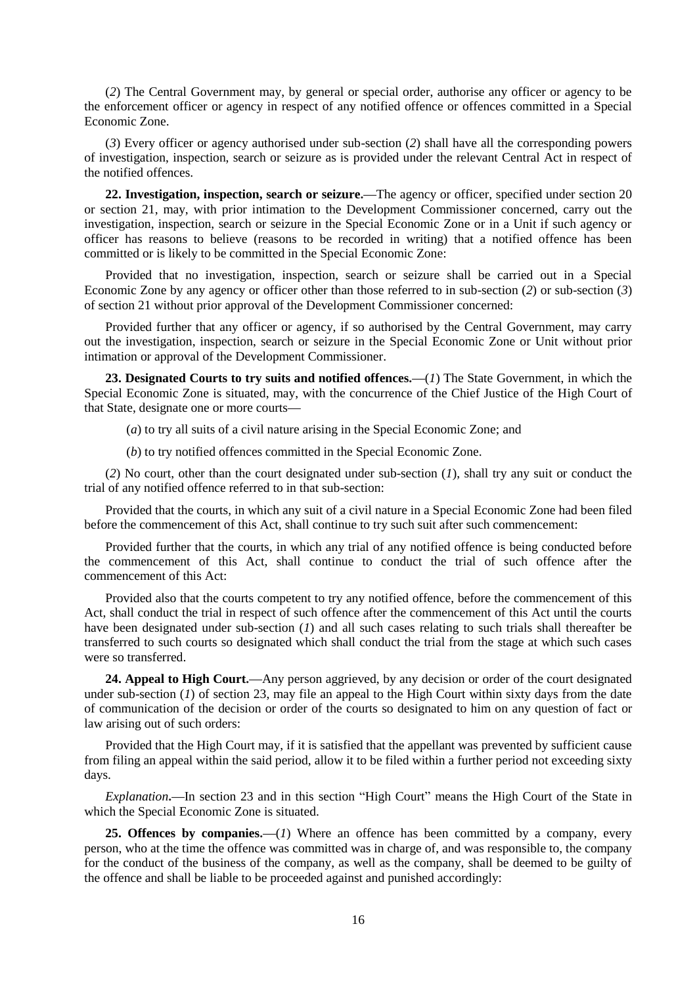(*2*) The Central Government may, by general or special order, authorise any officer or agency to be the enforcement officer or agency in respect of any notified offence or offences committed in a Special Economic Zone.

(*3*) Every officer or agency authorised under sub-section (*2*) shall have all the corresponding powers of investigation, inspection, search or seizure as is provided under the relevant Central Act in respect of the notified offences.

**22. Investigation, inspection, search or seizure.—**The agency or officer, specified under section 20 or section 21, may, with prior intimation to the Development Commissioner concerned, carry out the investigation, inspection, search or seizure in the Special Economic Zone or in a Unit if such agency or officer has reasons to believe (reasons to be recorded in writing) that a notified offence has been committed or is likely to be committed in the Special Economic Zone:

Provided that no investigation, inspection, search or seizure shall be carried out in a Special Economic Zone by any agency or officer other than those referred to in sub-section (*2*) or sub-section (*3*) of section 21 without prior approval of the Development Commissioner concerned:

Provided further that any officer or agency, if so authorised by the Central Government, may carry out the investigation, inspection, search or seizure in the Special Economic Zone or Unit without prior intimation or approval of the Development Commissioner.

**23. Designated Courts to try suits and notified offences.—**(*1*) The State Government, in which the Special Economic Zone is situated, may, with the concurrence of the Chief Justice of the High Court of that State, designate one or more courts**—**

(*a*) to try all suits of a civil nature arising in the Special Economic Zone; and

(*b*) to try notified offences committed in the Special Economic Zone.

(*2*) No court, other than the court designated under sub-section (*1*), shall try any suit or conduct the trial of any notified offence referred to in that sub-section:

Provided that the courts, in which any suit of a civil nature in a Special Economic Zone had been filed before the commencement of this Act, shall continue to try such suit after such commencement:

Provided further that the courts, in which any trial of any notified offence is being conducted before the commencement of this Act, shall continue to conduct the trial of such offence after the commencement of this Act:

Provided also that the courts competent to try any notified offence, before the commencement of this Act, shall conduct the trial in respect of such offence after the commencement of this Act until the courts have been designated under sub-section (*1*) and all such cases relating to such trials shall thereafter be transferred to such courts so designated which shall conduct the trial from the stage at which such cases were so transferred.

**24. Appeal to High Court.—**Any person aggrieved, by any decision or order of the court designated under sub-section (*1*) of section 23, may file an appeal to the High Court within sixty days from the date of communication of the decision or order of the courts so designated to him on any question of fact or law arising out of such orders:

Provided that the High Court may, if it is satisfied that the appellant was prevented by sufficient cause from filing an appeal within the said period, allow it to be filed within a further period not exceeding sixty days.

*Explanation***.—**In section 23 and in this section "High Court" means the High Court of the State in which the Special Economic Zone is situated.

**25. Offences by companies.—**(*1*) Where an offence has been committed by a company, every person, who at the time the offence was committed was in charge of, and was responsible to, the company for the conduct of the business of the company, as well as the company, shall be deemed to be guilty of the offence and shall be liable to be proceeded against and punished accordingly: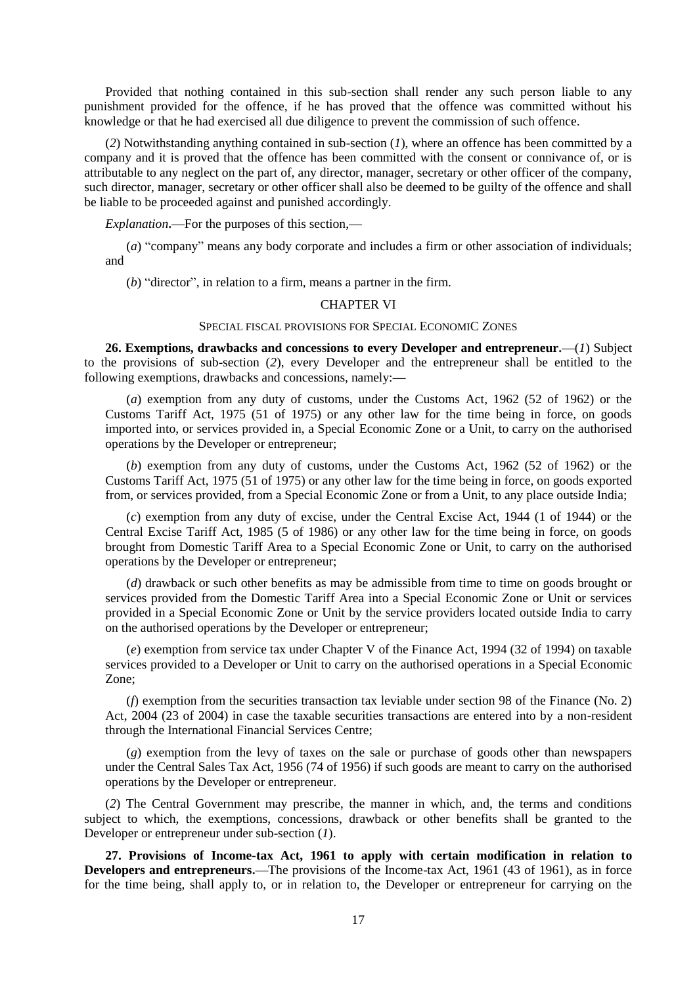Provided that nothing contained in this sub-section shall render any such person liable to any punishment provided for the offence, if he has proved that the offence was committed without his knowledge or that he had exercised all due diligence to prevent the commission of such offence.

(*2*) Notwithstanding anything contained in sub-section (*1*), where an offence has been committed by a company and it is proved that the offence has been committed with the consent or connivance of, or is attributable to any neglect on the part of, any director, manager, secretary or other officer of the company, such director, manager, secretary or other officer shall also be deemed to be guilty of the offence and shall be liable to be proceeded against and punished accordingly.

*Explanation***.—**For the purposes of this section,**—**

(*a*) "company" means any body corporate and includes a firm or other association of individuals; and

(*b*) "director", in relation to a firm, means a partner in the firm.

#### CHAPTER VI

### SPECIAL FISCAL PROVISIONS FOR SPECIAL ECONOMIC ZONES

**26. Exemptions, drawbacks and concessions to every Developer and entrepreneur.—**(*1*) Subject to the provisions of sub-section (*2*), every Developer and the entrepreneur shall be entitled to the following exemptions, drawbacks and concessions, namely:**—**

(*a*) exemption from any duty of customs, under the Customs Act, 1962 (52 of 1962) or the Customs Tariff Act, 1975 (51 of 1975) or any other law for the time being in force, on goods imported into, or services provided in, a Special Economic Zone or a Unit, to carry on the authorised operations by the Developer or entrepreneur;

(*b*) exemption from any duty of customs, under the Customs Act, 1962 (52 of 1962) or the Customs Tariff Act, 1975 (51 of 1975) or any other law for the time being in force, on goods exported from, or services provided, from a Special Economic Zone or from a Unit, to any place outside India;

(*c*) exemption from any duty of excise, under the Central Excise Act, 1944 (1 of 1944) or the Central Excise Tariff Act, 1985 (5 of 1986) or any other law for the time being in force, on goods brought from Domestic Tariff Area to a Special Economic Zone or Unit, to carry on the authorised operations by the Developer or entrepreneur;

(*d*) drawback or such other benefits as may be admissible from time to time on goods brought or services provided from the Domestic Tariff Area into a Special Economic Zone or Unit or services provided in a Special Economic Zone or Unit by the service providers located outside India to carry on the authorised operations by the Developer or entrepreneur;

(*e*) exemption from service tax under Chapter V of the Finance Act, 1994 (32 of 1994) on taxable services provided to a Developer or Unit to carry on the authorised operations in a Special Economic Zone;

(*f*) exemption from the securities transaction tax leviable under section 98 of the Finance (No. 2) Act, 2004 (23 of 2004) in case the taxable securities transactions are entered into by a non-resident through the International Financial Services Centre;

(*g*) exemption from the levy of taxes on the sale or purchase of goods other than newspapers under the Central Sales Tax Act, 1956 (74 of 1956) if such goods are meant to carry on the authorised operations by the Developer or entrepreneur.

(*2*) The Central Government may prescribe, the manner in which, and, the terms and conditions subject to which, the exemptions, concessions, drawback or other benefits shall be granted to the Developer or entrepreneur under sub-section (*1*).

**27. Provisions of Income-tax Act, 1961 to apply with certain modification in relation to Developers and entrepreneurs.—**The provisions of the Income-tax Act, 1961 (43 of 1961), as in force for the time being, shall apply to, or in relation to, the Developer or entrepreneur for carrying on the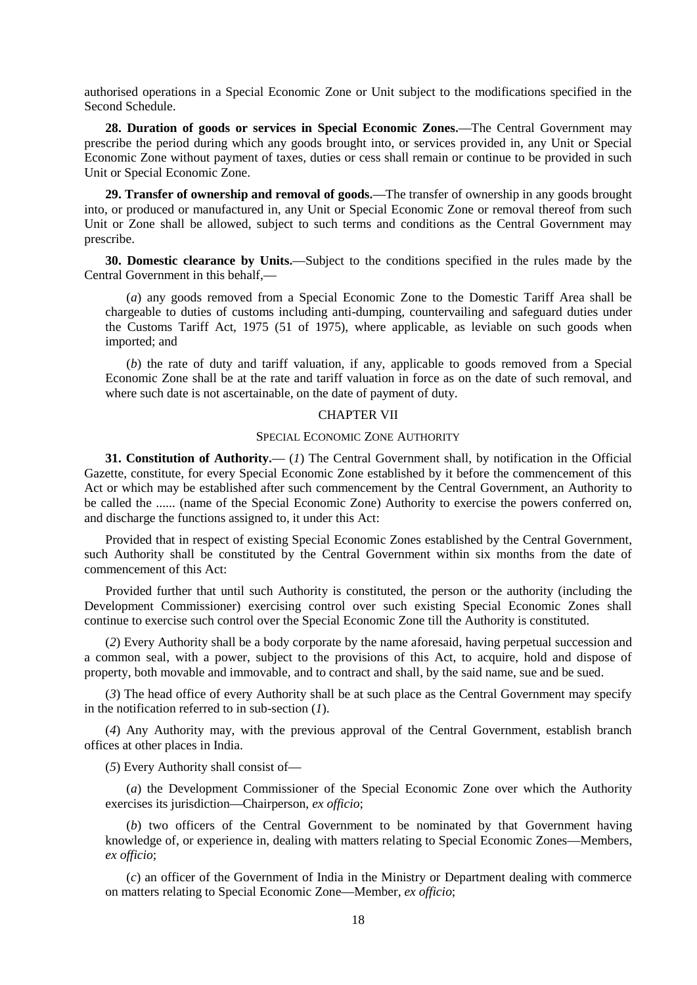authorised operations in a Special Economic Zone or Unit subject to the modifications specified in the Second Schedule.

**28. Duration of goods or services in Special Economic Zones.—**The Central Government may prescribe the period during which any goods brought into, or services provided in, any Unit or Special Economic Zone without payment of taxes, duties or cess shall remain or continue to be provided in such Unit or Special Economic Zone.

**29. Transfer of ownership and removal of goods.—**The transfer of ownership in any goods brought into, or produced or manufactured in, any Unit or Special Economic Zone or removal thereof from such Unit or Zone shall be allowed, subject to such terms and conditions as the Central Government may prescribe.

**30. Domestic clearance by Units.—**Subject to the conditions specified in the rules made by the Central Government in this behalf,**—**

(*a*) any goods removed from a Special Economic Zone to the Domestic Tariff Area shall be chargeable to duties of customs including anti-dumping, countervailing and safeguard duties under the Customs Tariff Act, 1975 (51 of 1975), where applicable, as leviable on such goods when imported; and

(*b*) the rate of duty and tariff valuation, if any, applicable to goods removed from a Special Economic Zone shall be at the rate and tariff valuation in force as on the date of such removal, and where such date is not ascertainable, on the date of payment of duty.

# CHAPTER VII

#### SPECIAL ECONOMIC ZONE AUTHORITY

**31. Constitution of Authority.—** (*1*) The Central Government shall, by notification in the Official Gazette, constitute, for every Special Economic Zone established by it before the commencement of this Act or which may be established after such commencement by the Central Government, an Authority to be called the ...... (name of the Special Economic Zone) Authority to exercise the powers conferred on, and discharge the functions assigned to, it under this Act:

Provided that in respect of existing Special Economic Zones established by the Central Government, such Authority shall be constituted by the Central Government within six months from the date of commencement of this Act:

Provided further that until such Authority is constituted, the person or the authority (including the Development Commissioner) exercising control over such existing Special Economic Zones shall continue to exercise such control over the Special Economic Zone till the Authority is constituted.

(*2*) Every Authority shall be a body corporate by the name aforesaid, having perpetual succession and a common seal, with a power, subject to the provisions of this Act, to acquire, hold and dispose of property, both movable and immovable, and to contract and shall, by the said name, sue and be sued.

(*3*) The head office of every Authority shall be at such place as the Central Government may specify in the notification referred to in sub-section (*1*).

(*4*) Any Authority may, with the previous approval of the Central Government, establish branch offices at other places in India.

(*5*) Every Authority shall consist of**—**

(*a*) the Development Commissioner of the Special Economic Zone over which the Authority exercises its jurisdiction**—**Chairperson, *ex officio*;

(*b*) two officers of the Central Government to be nominated by that Government having knowledge of, or experience in, dealing with matters relating to Special Economic Zones**—**Members, *ex officio*;

(*c*) an officer of the Government of India in the Ministry or Department dealing with commerce on matters relating to Special Economic Zone**—**Member, *ex officio*;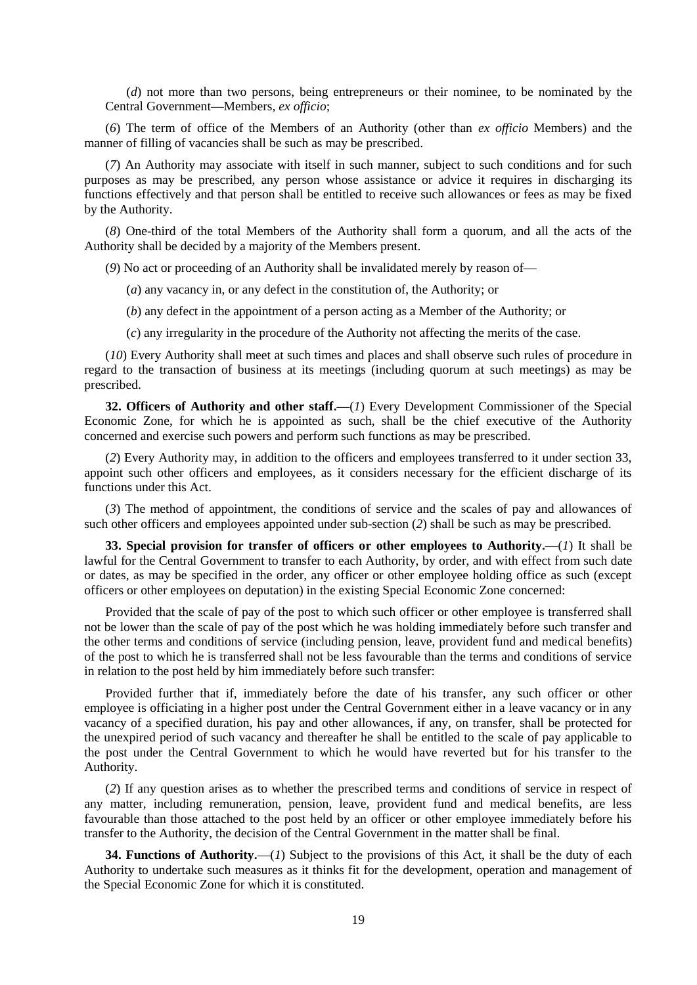(*d*) not more than two persons, being entrepreneurs or their nominee, to be nominated by the Central Government**—**Members, *ex officio*;

(*6*) The term of office of the Members of an Authority (other than *ex officio* Members) and the manner of filling of vacancies shall be such as may be prescribed.

(*7*) An Authority may associate with itself in such manner, subject to such conditions and for such purposes as may be prescribed, any person whose assistance or advice it requires in discharging its functions effectively and that person shall be entitled to receive such allowances or fees as may be fixed by the Authority.

(*8*) One-third of the total Members of the Authority shall form a quorum, and all the acts of the Authority shall be decided by a majority of the Members present.

(*9*) No act or proceeding of an Authority shall be invalidated merely by reason of**—**

- (*a*) any vacancy in, or any defect in the constitution of, the Authority; or
- (*b*) any defect in the appointment of a person acting as a Member of the Authority; or
- (*c*) any irregularity in the procedure of the Authority not affecting the merits of the case.

(*10*) Every Authority shall meet at such times and places and shall observe such rules of procedure in regard to the transaction of business at its meetings (including quorum at such meetings) as may be prescribed.

**32. Officers of Authority and other staff.—**(*1*) Every Development Commissioner of the Special Economic Zone, for which he is appointed as such, shall be the chief executive of the Authority concerned and exercise such powers and perform such functions as may be prescribed.

(*2*) Every Authority may, in addition to the officers and employees transferred to it under section 33, appoint such other officers and employees, as it considers necessary for the efficient discharge of its functions under this Act.

(*3*) The method of appointment, the conditions of service and the scales of pay and allowances of such other officers and employees appointed under sub-section (*2*) shall be such as may be prescribed.

**33. Special provision for transfer of officers or other employees to Authority.—**(*1*) It shall be lawful for the Central Government to transfer to each Authority, by order, and with effect from such date or dates, as may be specified in the order, any officer or other employee holding office as such (except officers or other employees on deputation) in the existing Special Economic Zone concerned:

Provided that the scale of pay of the post to which such officer or other employee is transferred shall not be lower than the scale of pay of the post which he was holding immediately before such transfer and the other terms and conditions of service (including pension, leave, provident fund and medical benefits) of the post to which he is transferred shall not be less favourable than the terms and conditions of service in relation to the post held by him immediately before such transfer:

Provided further that if, immediately before the date of his transfer, any such officer or other employee is officiating in a higher post under the Central Government either in a leave vacancy or in any vacancy of a specified duration, his pay and other allowances, if any, on transfer, shall be protected for the unexpired period of such vacancy and thereafter he shall be entitled to the scale of pay applicable to the post under the Central Government to which he would have reverted but for his transfer to the Authority.

(*2*) If any question arises as to whether the prescribed terms and conditions of service in respect of any matter, including remuneration, pension, leave, provident fund and medical benefits, are less favourable than those attached to the post held by an officer or other employee immediately before his transfer to the Authority, the decision of the Central Government in the matter shall be final.

**34. Functions of Authority.—**(*1*) Subject to the provisions of this Act, it shall be the duty of each Authority to undertake such measures as it thinks fit for the development, operation and management of the Special Economic Zone for which it is constituted.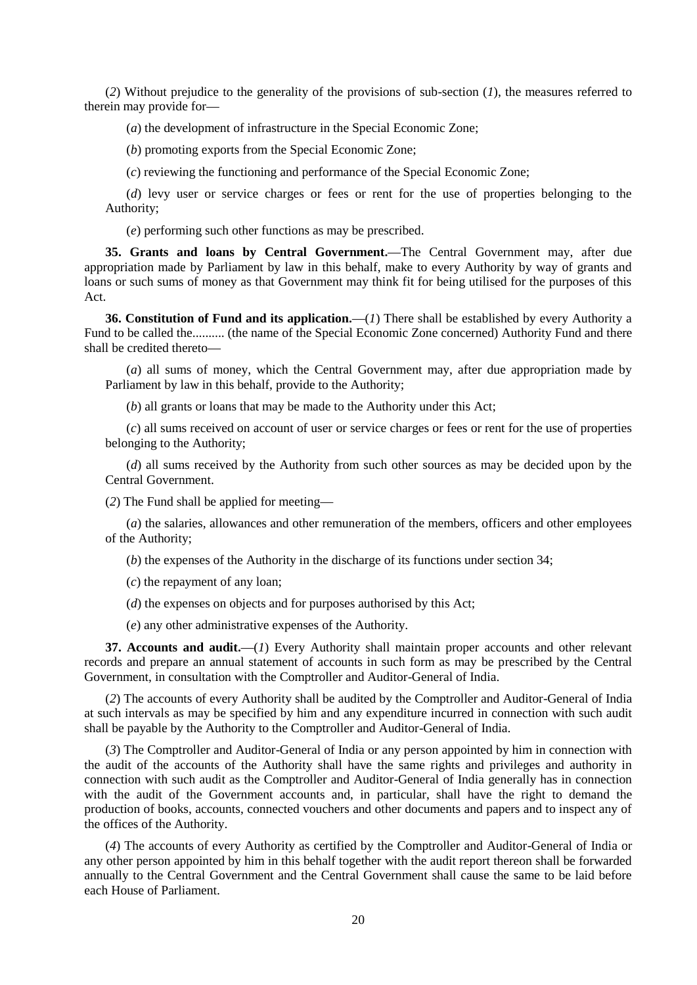(*2*) Without prejudice to the generality of the provisions of sub-section (*1*), the measures referred to therein may provide for**—**

(*a*) the development of infrastructure in the Special Economic Zone;

(*b*) promoting exports from the Special Economic Zone;

(*c*) reviewing the functioning and performance of the Special Economic Zone;

(*d*) levy user or service charges or fees or rent for the use of properties belonging to the Authority;

(*e*) performing such other functions as may be prescribed.

**35. Grants and loans by Central Government.—**The Central Government may, after due appropriation made by Parliament by law in this behalf, make to every Authority by way of grants and loans or such sums of money as that Government may think fit for being utilised for the purposes of this Act.

**36. Constitution of Fund and its application.—**(*1*) There shall be established by every Authority a Fund to be called the.......... (the name of the Special Economic Zone concerned) Authority Fund and there shall be credited thereto**—**

(*a*) all sums of money, which the Central Government may, after due appropriation made by Parliament by law in this behalf, provide to the Authority;

(*b*) all grants or loans that may be made to the Authority under this Act;

(*c*) all sums received on account of user or service charges or fees or rent for the use of properties belonging to the Authority;

(*d*) all sums received by the Authority from such other sources as may be decided upon by the Central Government.

(*2*) The Fund shall be applied for meeting**—**

(*a*) the salaries, allowances and other remuneration of the members, officers and other employees of the Authority;

(*b*) the expenses of the Authority in the discharge of its functions under section 34;

(*c*) the repayment of any loan;

(*d*) the expenses on objects and for purposes authorised by this Act;

(*e*) any other administrative expenses of the Authority.

**37. Accounts and audit.—**(*1*) Every Authority shall maintain proper accounts and other relevant records and prepare an annual statement of accounts in such form as may be prescribed by the Central Government, in consultation with the Comptroller and Auditor-General of India.

(*2*) The accounts of every Authority shall be audited by the Comptroller and Auditor-General of India at such intervals as may be specified by him and any expenditure incurred in connection with such audit shall be payable by the Authority to the Comptroller and Auditor-General of India.

(*3*) The Comptroller and Auditor-General of India or any person appointed by him in connection with the audit of the accounts of the Authority shall have the same rights and privileges and authority in connection with such audit as the Comptroller and Auditor-General of India generally has in connection with the audit of the Government accounts and, in particular, shall have the right to demand the production of books, accounts, connected vouchers and other documents and papers and to inspect any of the offices of the Authority.

(*4*) The accounts of every Authority as certified by the Comptroller and Auditor-General of India or any other person appointed by him in this behalf together with the audit report thereon shall be forwarded annually to the Central Government and the Central Government shall cause the same to be laid before each House of Parliament.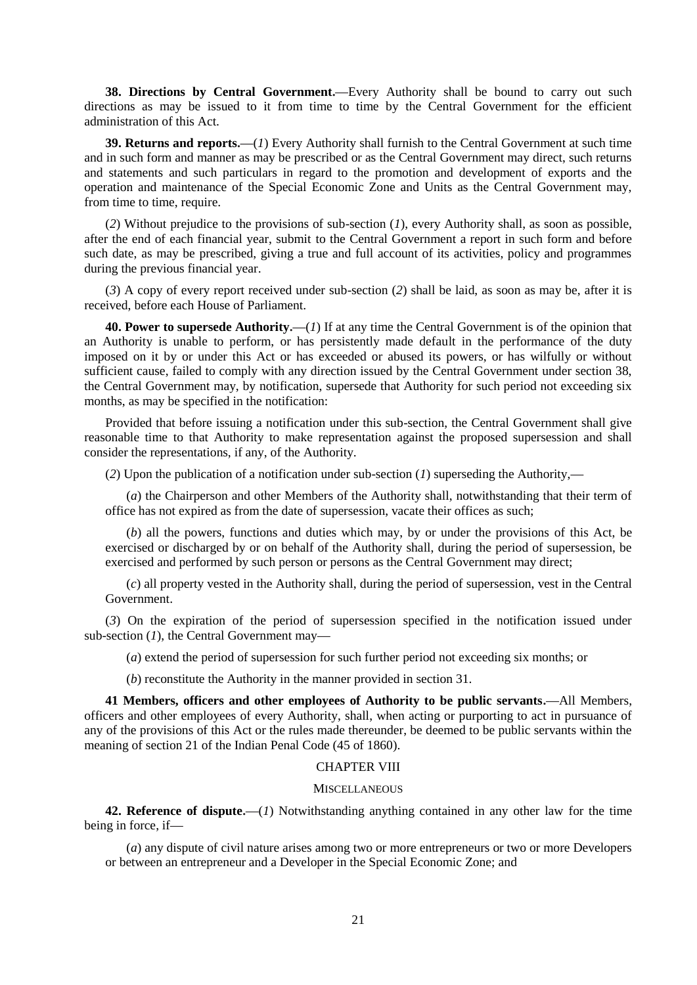**38. Directions by Central Government.—**Every Authority shall be bound to carry out such directions as may be issued to it from time to time by the Central Government for the efficient administration of this Act.

**39. Returns and reports.—**(*1*) Every Authority shall furnish to the Central Government at such time and in such form and manner as may be prescribed or as the Central Government may direct, such returns and statements and such particulars in regard to the promotion and development of exports and the operation and maintenance of the Special Economic Zone and Units as the Central Government may, from time to time, require.

(*2*) Without prejudice to the provisions of sub-section (*1*), every Authority shall, as soon as possible, after the end of each financial year, submit to the Central Government a report in such form and before such date, as may be prescribed, giving a true and full account of its activities, policy and programmes during the previous financial year.

(*3*) A copy of every report received under sub-section (*2*) shall be laid, as soon as may be, after it is received, before each House of Parliament.

**40. Power to supersede Authority.—**(*1*) If at any time the Central Government is of the opinion that an Authority is unable to perform, or has persistently made default in the performance of the duty imposed on it by or under this Act or has exceeded or abused its powers, or has wilfully or without sufficient cause, failed to comply with any direction issued by the Central Government under section 38, the Central Government may, by notification, supersede that Authority for such period not exceeding six months, as may be specified in the notification:

Provided that before issuing a notification under this sub-section, the Central Government shall give reasonable time to that Authority to make representation against the proposed supersession and shall consider the representations, if any, of the Authority.

(*2*) Upon the publication of a notification under sub-section (*1*) superseding the Authority,**—**

(*a*) the Chairperson and other Members of the Authority shall, notwithstanding that their term of office has not expired as from the date of supersession, vacate their offices as such;

(*b*) all the powers, functions and duties which may, by or under the provisions of this Act, be exercised or discharged by or on behalf of the Authority shall, during the period of supersession, be exercised and performed by such person or persons as the Central Government may direct;

(*c*) all property vested in the Authority shall, during the period of supersession, vest in the Central Government.

(*3*) On the expiration of the period of supersession specified in the notification issued under sub-section (*1*), the Central Government may**—**

(*a*) extend the period of supersession for such further period not exceeding six months; or

(*b*) reconstitute the Authority in the manner provided in section 31.

**41 Members, officers and other employees of Authority to be public servants.—**All Members, officers and other employees of every Authority, shall, when acting or purporting to act in pursuance of any of the provisions of this Act or the rules made thereunder, be deemed to be public servants within the meaning of section 21 of the Indian Penal Code (45 of 1860).

### CHAPTER VIII

## **MISCELLANEOUS**

**42. Reference of dispute.—**(*1*) Notwithstanding anything contained in any other law for the time being in force, if**—**

(*a*) any dispute of civil nature arises among two or more entrepreneurs or two or more Developers or between an entrepreneur and a Developer in the Special Economic Zone; and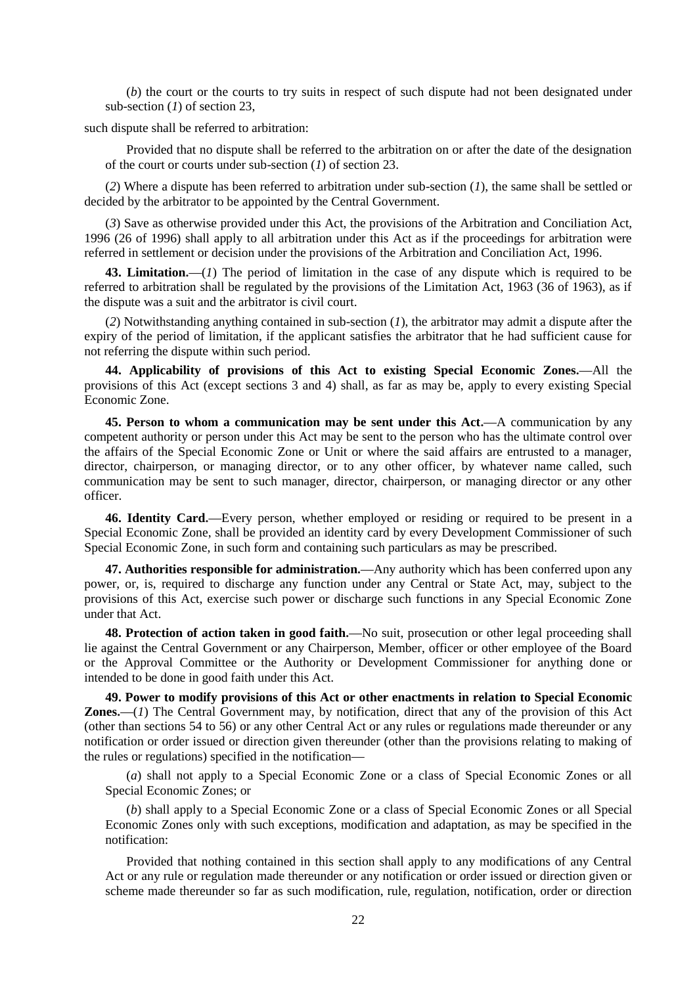(*b*) the court or the courts to try suits in respect of such dispute had not been designated under sub-section (*1*) of section 23,

such dispute shall be referred to arbitration:

Provided that no dispute shall be referred to the arbitration on or after the date of the designation of the court or courts under sub-section (*1*) of section 23.

(*2*) Where a dispute has been referred to arbitration under sub-section (*1*), the same shall be settled or decided by the arbitrator to be appointed by the Central Government.

(*3*) Save as otherwise provided under this Act, the provisions of the Arbitration and Conciliation Act, 1996 (26 of 1996) shall apply to all arbitration under this Act as if the proceedings for arbitration were referred in settlement or decision under the provisions of the Arbitration and Conciliation Act, 1996.

**43. Limitation.—**(*1*) The period of limitation in the case of any dispute which is required to be referred to arbitration shall be regulated by the provisions of the Limitation Act, 1963 (36 of 1963), as if the dispute was a suit and the arbitrator is civil court.

(*2*) Notwithstanding anything contained in sub-section (*1*), the arbitrator may admit a dispute after the expiry of the period of limitation, if the applicant satisfies the arbitrator that he had sufficient cause for not referring the dispute within such period.

**44. Applicability of provisions of this Act to existing Special Economic Zones.—**All the provisions of this Act (except sections 3 and 4) shall, as far as may be, apply to every existing Special Economic Zone.

**45. Person to whom a communication may be sent under this Act.—**A communication by any competent authority or person under this Act may be sent to the person who has the ultimate control over the affairs of the Special Economic Zone or Unit or where the said affairs are entrusted to a manager, director, chairperson, or managing director, or to any other officer, by whatever name called, such communication may be sent to such manager, director, chairperson, or managing director or any other officer.

**46. Identity Card.—**Every person, whether employed or residing or required to be present in a Special Economic Zone, shall be provided an identity card by every Development Commissioner of such Special Economic Zone, in such form and containing such particulars as may be prescribed.

**47. Authorities responsible for administration.—**Any authority which has been conferred upon any power, or, is, required to discharge any function under any Central or State Act, may, subject to the provisions of this Act, exercise such power or discharge such functions in any Special Economic Zone under that Act.

**48. Protection of action taken in good faith.—**No suit, prosecution or other legal proceeding shall lie against the Central Government or any Chairperson, Member, officer or other employee of the Board or the Approval Committee or the Authority or Development Commissioner for anything done or intended to be done in good faith under this Act.

**49. Power to modify provisions of this Act or other enactments in relation to Special Economic Zones.—**(*1*) The Central Government may, by notification, direct that any of the provision of this Act (other than sections 54 to 56) or any other Central Act or any rules or regulations made thereunder or any notification or order issued or direction given thereunder (other than the provisions relating to making of the rules or regulations) specified in the notification**—**

(*a*) shall not apply to a Special Economic Zone or a class of Special Economic Zones or all Special Economic Zones; or

(*b*) shall apply to a Special Economic Zone or a class of Special Economic Zones or all Special Economic Zones only with such exceptions, modification and adaptation, as may be specified in the notification:

Provided that nothing contained in this section shall apply to any modifications of any Central Act or any rule or regulation made thereunder or any notification or order issued or direction given or scheme made thereunder so far as such modification, rule, regulation, notification, order or direction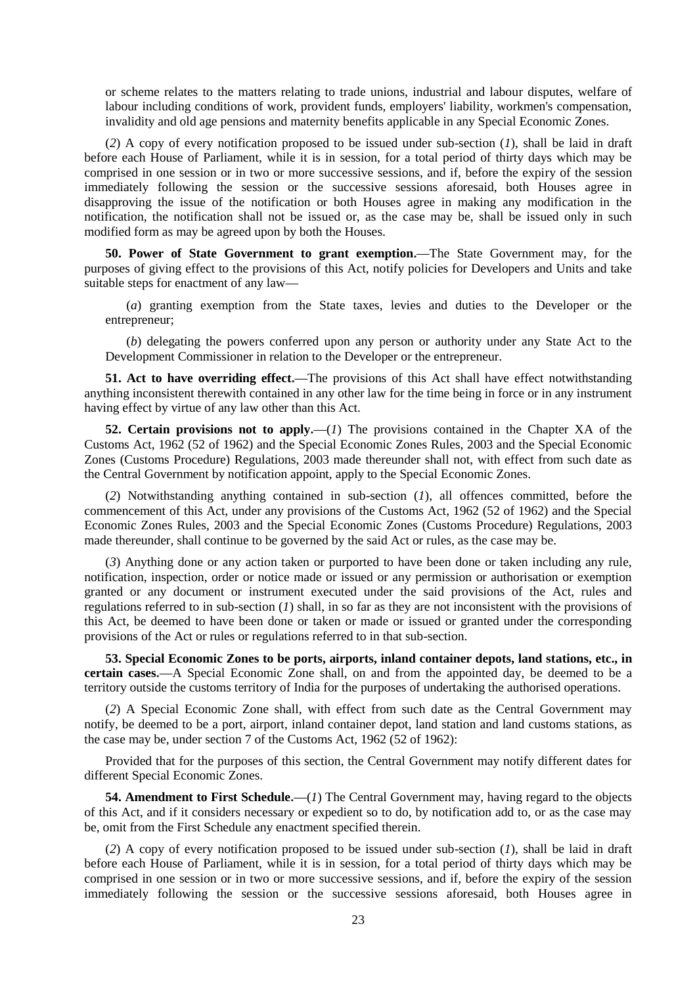or scheme relates to the matters relating to trade unions, industrial and labour disputes, welfare of labour including conditions of work, provident funds, employers' liability, workmen's compensation, invalidity and old age pensions and maternity benefits applicable in any Special Economic Zones.

(*2*) A copy of every notification proposed to be issued under sub-section (*1*), shall be laid in draft before each House of Parliament, while it is in session, for a total period of thirty days which may be comprised in one session or in two or more successive sessions, and if, before the expiry of the session immediately following the session or the successive sessions aforesaid, both Houses agree in disapproving the issue of the notification or both Houses agree in making any modification in the notification, the notification shall not be issued or, as the case may be, shall be issued only in such modified form as may be agreed upon by both the Houses.

**50. Power of State Government to grant exemption.—**The State Government may, for the purposes of giving effect to the provisions of this Act, notify policies for Developers and Units and take suitable steps for enactment of any law**—**

(*a*) granting exemption from the State taxes, levies and duties to the Developer or the entrepreneur;

(*b*) delegating the powers conferred upon any person or authority under any State Act to the Development Commissioner in relation to the Developer or the entrepreneur.

**51. Act to have overriding effect.—**The provisions of this Act shall have effect notwithstanding anything inconsistent therewith contained in any other law for the time being in force or in any instrument having effect by virtue of any law other than this Act.

**52. Certain provisions not to apply.—**(*1*) The provisions contained in the Chapter XA of the Customs Act, 1962 (52 of 1962) and the Special Economic Zones Rules, 2003 and the Special Economic Zones (Customs Procedure) Regulations, 2003 made thereunder shall not, with effect from such date as the Central Government by notification appoint, apply to the Special Economic Zones.

(*2*) Notwithstanding anything contained in sub-section (*1*), all offences committed, before the commencement of this Act, under any provisions of the Customs Act, 1962 (52 of 1962) and the Special Economic Zones Rules, 2003 and the Special Economic Zones (Customs Procedure) Regulations, 2003 made thereunder, shall continue to be governed by the said Act or rules, as the case may be.

(*3*) Anything done or any action taken or purported to have been done or taken including any rule, notification, inspection, order or notice made or issued or any permission or authorisation or exemption granted or any document or instrument executed under the said provisions of the Act, rules and regulations referred to in sub-section (*1*) shall, in so far as they are not inconsistent with the provisions of this Act, be deemed to have been done or taken or made or issued or granted under the corresponding provisions of the Act or rules or regulations referred to in that sub-section.

**53. Special Economic Zones to be ports, airports, inland container depots, land stations, etc., in certain cases.—**A Special Economic Zone shall, on and from the appointed day, be deemed to be a territory outside the customs territory of India for the purposes of undertaking the authorised operations.

(*2*) A Special Economic Zone shall, with effect from such date as the Central Government may notify, be deemed to be a port, airport, inland container depot, land station and land customs stations, as the case may be, under section 7 of the Customs Act, 1962 (52 of 1962):

Provided that for the purposes of this section, the Central Government may notify different dates for different Special Economic Zones.

**54. Amendment to First Schedule.—**(*1*) The Central Government may, having regard to the objects of this Act, and if it considers necessary or expedient so to do, by notification add to, or as the case may be, omit from the First Schedule any enactment specified therein.

(*2*) A copy of every notification proposed to be issued under sub-section (*1*), shall be laid in draft before each House of Parliament, while it is in session, for a total period of thirty days which may be comprised in one session or in two or more successive sessions, and if, before the expiry of the session immediately following the session or the successive sessions aforesaid, both Houses agree in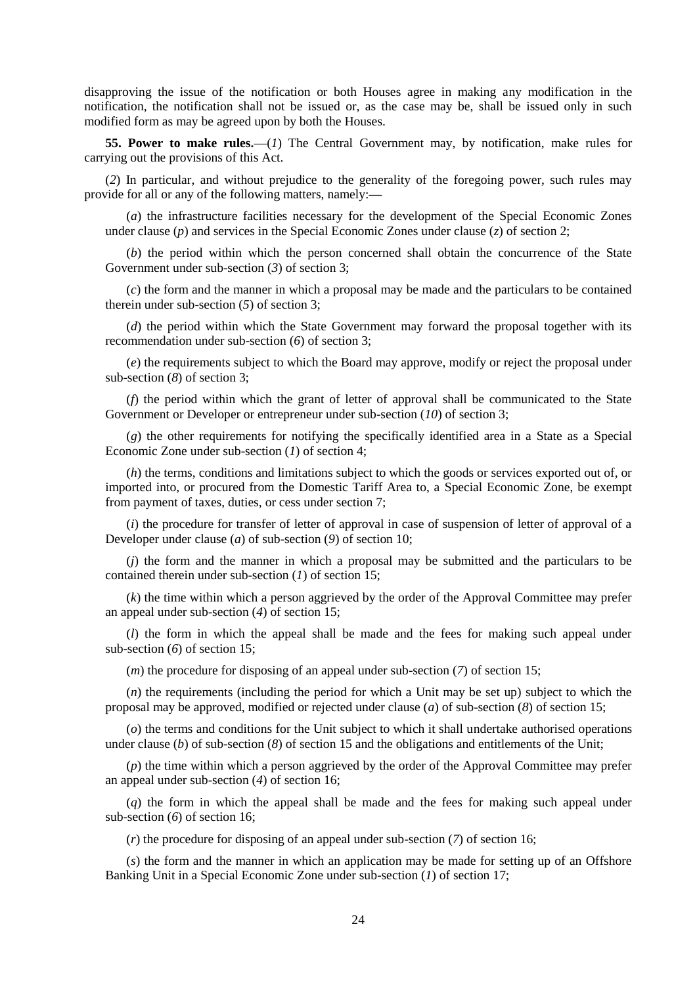disapproving the issue of the notification or both Houses agree in making any modification in the notification, the notification shall not be issued or, as the case may be, shall be issued only in such modified form as may be agreed upon by both the Houses.

**55. Power to make rules.—**(*1*) The Central Government may, by notification, make rules for carrying out the provisions of this Act.

(*2*) In particular, and without prejudice to the generality of the foregoing power, such rules may provide for all or any of the following matters, namely:**—**

(*a*) the infrastructure facilities necessary for the development of the Special Economic Zones under clause (*p*) and services in the Special Economic Zones under clause (*z*) of section 2;

(*b*) the period within which the person concerned shall obtain the concurrence of the State Government under sub-section (*3*) of section 3;

(*c*) the form and the manner in which a proposal may be made and the particulars to be contained therein under sub-section (*5*) of section 3;

(*d*) the period within which the State Government may forward the proposal together with its recommendation under sub-section (*6*) of section 3;

(*e*) the requirements subject to which the Board may approve, modify or reject the proposal under sub-section (*8*) of section 3;

(*f*) the period within which the grant of letter of approval shall be communicated to the State Government or Developer or entrepreneur under sub-section (*10*) of section 3;

(*g*) the other requirements for notifying the specifically identified area in a State as a Special Economic Zone under sub-section (*1*) of section 4;

(*h*) the terms, conditions and limitations subject to which the goods or services exported out of, or imported into, or procured from the Domestic Tariff Area to, a Special Economic Zone, be exempt from payment of taxes, duties, or cess under section 7;

(*i*) the procedure for transfer of letter of approval in case of suspension of letter of approval of a Developer under clause (*a*) of sub-section (*9*) of section 10;

(*j*) the form and the manner in which a proposal may be submitted and the particulars to be contained therein under sub-section (*1*) of section 15;

(*k*) the time within which a person aggrieved by the order of the Approval Committee may prefer an appeal under sub-section (*4*) of section 15;

(*l*) the form in which the appeal shall be made and the fees for making such appeal under sub-section (*6*) of section 15;

(*m*) the procedure for disposing of an appeal under sub-section (*7*) of section 15;

(*n*) the requirements (including the period for which a Unit may be set up) subject to which the proposal may be approved, modified or rejected under clause (*a*) of sub-section (*8*) of section 15;

(*o*) the terms and conditions for the Unit subject to which it shall undertake authorised operations under clause (*b*) of sub-section (*8*) of section 15 and the obligations and entitlements of the Unit;

(*p*) the time within which a person aggrieved by the order of the Approval Committee may prefer an appeal under sub-section (*4*) of section 16;

(*q*) the form in which the appeal shall be made and the fees for making such appeal under sub-section (*6*) of section 16;

(*r*) the procedure for disposing of an appeal under sub-section (*7*) of section 16;

(*s*) the form and the manner in which an application may be made for setting up of an Offshore Banking Unit in a Special Economic Zone under sub-section (*1*) of section 17;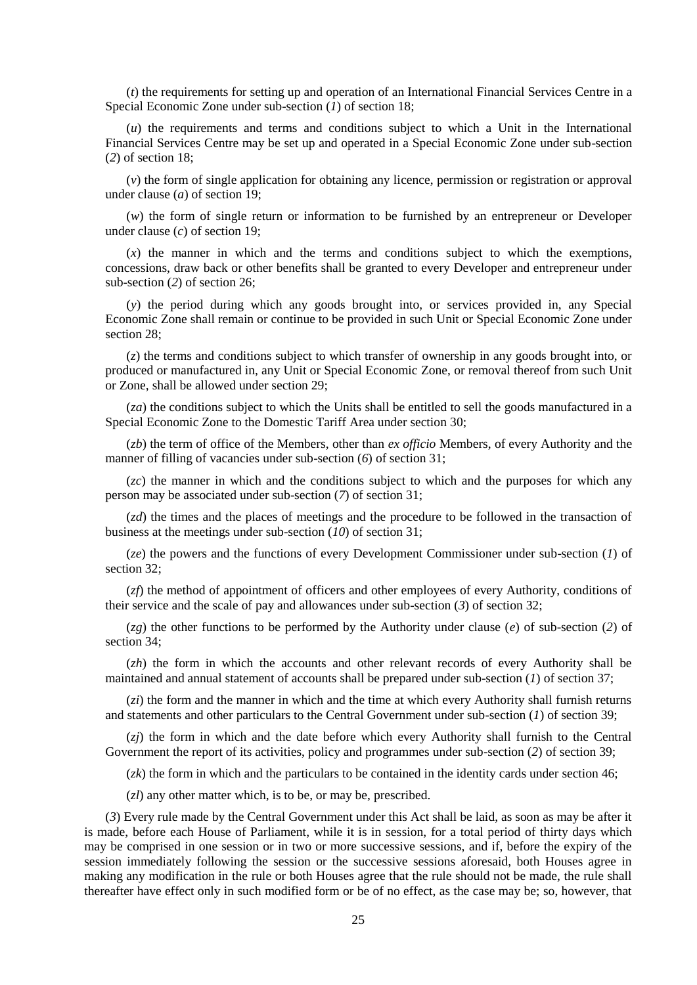(*t*) the requirements for setting up and operation of an International Financial Services Centre in a Special Economic Zone under sub-section (*1*) of section 18;

(*u*) the requirements and terms and conditions subject to which a Unit in the International Financial Services Centre may be set up and operated in a Special Economic Zone under sub-section (*2*) of section 18;

(*v*) the form of single application for obtaining any licence, permission or registration or approval under clause (*a*) of section 19;

(*w*) the form of single return or information to be furnished by an entrepreneur or Developer under clause (*c*) of section 19;

(*x*) the manner in which and the terms and conditions subject to which the exemptions, concessions, draw back or other benefits shall be granted to every Developer and entrepreneur under sub-section (*2*) of section 26;

(*y*) the period during which any goods brought into, or services provided in, any Special Economic Zone shall remain or continue to be provided in such Unit or Special Economic Zone under section 28;

(*z*) the terms and conditions subject to which transfer of ownership in any goods brought into, or produced or manufactured in, any Unit or Special Economic Zone, or removal thereof from such Unit or Zone, shall be allowed under section 29;

(*za*) the conditions subject to which the Units shall be entitled to sell the goods manufactured in a Special Economic Zone to the Domestic Tariff Area under section 30;

(*zb*) the term of office of the Members, other than *ex officio* Members, of every Authority and the manner of filling of vacancies under sub-section (*6*) of section 31;

(*zc*) the manner in which and the conditions subject to which and the purposes for which any person may be associated under sub-section (*7*) of section 31;

(*zd*) the times and the places of meetings and the procedure to be followed in the transaction of business at the meetings under sub-section (*10*) of section 31;

(*ze*) the powers and the functions of every Development Commissioner under sub-section (*1*) of section 32:

(*zf*) the method of appointment of officers and other employees of every Authority, conditions of their service and the scale of pay and allowances under sub-section (*3*) of section 32;

(*zg*) the other functions to be performed by the Authority under clause (*e*) of sub-section (*2*) of section 34;

(*zh*) the form in which the accounts and other relevant records of every Authority shall be maintained and annual statement of accounts shall be prepared under sub-section (*1*) of section 37;

(*zi*) the form and the manner in which and the time at which every Authority shall furnish returns and statements and other particulars to the Central Government under sub-section (*1*) of section 39;

(*zj*) the form in which and the date before which every Authority shall furnish to the Central Government the report of its activities, policy and programmes under sub-section (*2*) of section 39;

(*zk*) the form in which and the particulars to be contained in the identity cards under section 46;

(*zl*) any other matter which, is to be, or may be, prescribed.

(*3*) Every rule made by the Central Government under this Act shall be laid, as soon as may be after it is made, before each House of Parliament, while it is in session, for a total period of thirty days which may be comprised in one session or in two or more successive sessions, and if, before the expiry of the session immediately following the session or the successive sessions aforesaid, both Houses agree in making any modification in the rule or both Houses agree that the rule should not be made, the rule shall thereafter have effect only in such modified form or be of no effect, as the case may be; so, however, that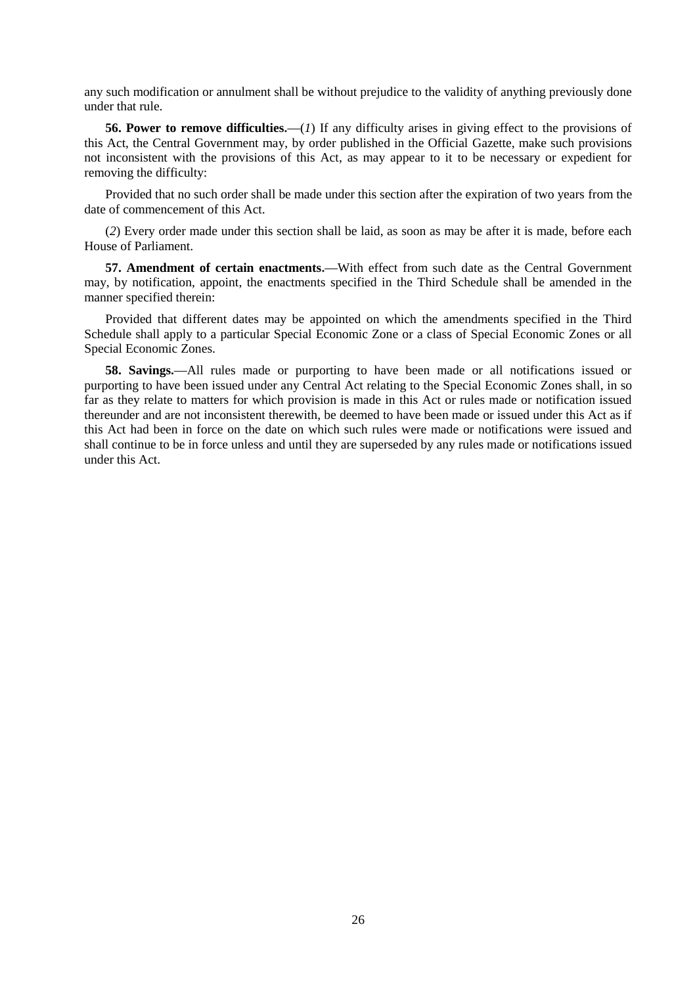any such modification or annulment shall be without prejudice to the validity of anything previously done under that rule.

**56. Power to remove difficulties.—**(*1*) If any difficulty arises in giving effect to the provisions of this Act, the Central Government may, by order published in the Official Gazette, make such provisions not inconsistent with the provisions of this Act, as may appear to it to be necessary or expedient for removing the difficulty:

Provided that no such order shall be made under this section after the expiration of two years from the date of commencement of this Act.

(*2*) Every order made under this section shall be laid, as soon as may be after it is made, before each House of Parliament.

**57. Amendment of certain enactments.—**With effect from such date as the Central Government may, by notification, appoint, the enactments specified in the Third Schedule shall be amended in the manner specified therein:

Provided that different dates may be appointed on which the amendments specified in the Third Schedule shall apply to a particular Special Economic Zone or a class of Special Economic Zones or all Special Economic Zones.

**58. Savings.—**All rules made or purporting to have been made or all notifications issued or purporting to have been issued under any Central Act relating to the Special Economic Zones shall, in so far as they relate to matters for which provision is made in this Act or rules made or notification issued thereunder and are not inconsistent therewith, be deemed to have been made or issued under this Act as if this Act had been in force on the date on which such rules were made or notifications were issued and shall continue to be in force unless and until they are superseded by any rules made or notifications issued under this Act.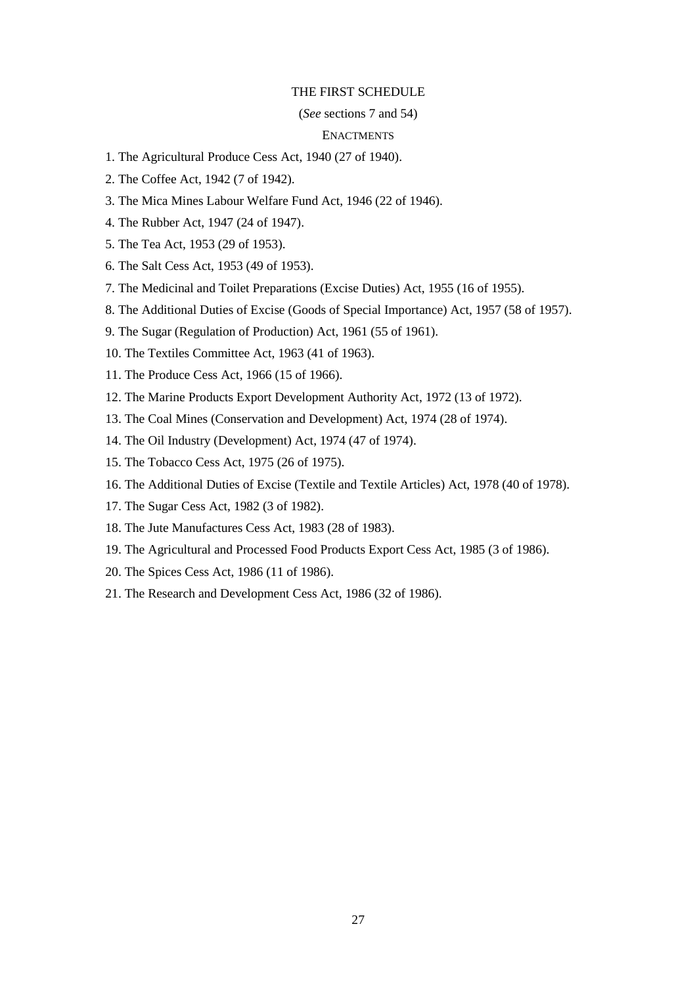#### THE FIRST SCHEDULE

#### (*See* sections 7 and 54)

### **ENACTMENTS**

- 1. The Agricultural Produce Cess Act, 1940 (27 of 1940).
- 2. The Coffee Act, 1942 (7 of 1942).
- 3. The Mica Mines Labour Welfare Fund Act, 1946 (22 of 1946).
- 4. The Rubber Act, 1947 (24 of 1947).
- 5. The Tea Act, 1953 (29 of 1953).
- 6. The Salt Cess Act, 1953 (49 of 1953).
- 7. The Medicinal and Toilet Preparations (Excise Duties) Act, 1955 (16 of 1955).
- 8. The Additional Duties of Excise (Goods of Special Importance) Act, 1957 (58 of 1957).
- 9. The Sugar (Regulation of Production) Act, 1961 (55 of 1961).
- 10. The Textiles Committee Act, 1963 (41 of 1963).
- 11. The Produce Cess Act, 1966 (15 of 1966).
- 12. The Marine Products Export Development Authority Act, 1972 (13 of 1972).
- 13. The Coal Mines (Conservation and Development) Act, 1974 (28 of 1974).
- 14. The Oil Industry (Development) Act, 1974 (47 of 1974).
- 15. The Tobacco Cess Act, 1975 (26 of 1975).
- 16. The Additional Duties of Excise (Textile and Textile Articles) Act, 1978 (40 of 1978).
- 17. The Sugar Cess Act, 1982 (3 of 1982).
- 18. The Jute Manufactures Cess Act, 1983 (28 of 1983).
- 19. The Agricultural and Processed Food Products Export Cess Act, 1985 (3 of 1986).
- 20. The Spices Cess Act, 1986 (11 of 1986).
- 21. The Research and Development Cess Act, 1986 (32 of 1986).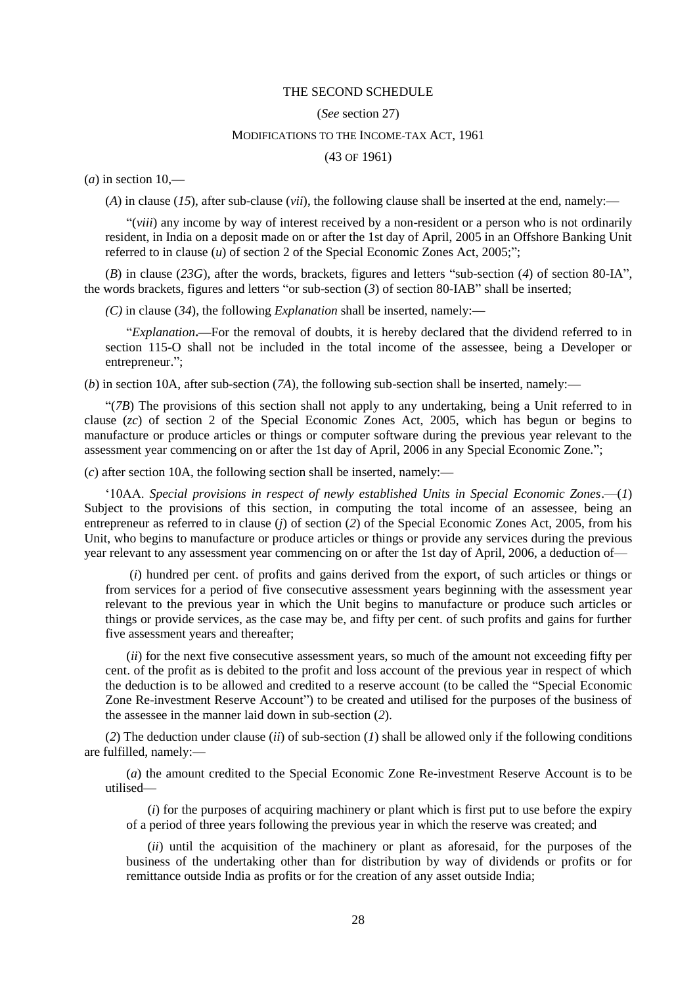#### THE SECOND SCHEDULE

#### (*See* section 27)

### MODIFICATIONS TO THE INCOME-TAX ACT, 1961

(43 OF 1961)

(*a*) in section 10,**—**

(*A*) in clause (*15*), after sub-clause (*vii*), the following clause shall be inserted at the end, namely:**—**

"(*viii*) any income by way of interest received by a non-resident or a person who is not ordinarily resident, in India on a deposit made on or after the 1st day of April, 2005 in an Offshore Banking Unit referred to in clause (*u*) of section 2 of the Special Economic Zones Act, 2005;";

(*B*) in clause (*23G*), after the words, brackets, figures and letters "sub-section (*4*) of section 80-IA", the words brackets, figures and letters "or sub-section (*3*) of section 80-IAB" shall be inserted;

*(C)* in clause (*34*), the following *Explanation* shall be inserted, namely:**—**

"*Explanation***.—**For the removal of doubts, it is hereby declared that the dividend referred to in section 115-O shall not be included in the total income of the assessee, being a Developer or entrepreneur.";

(*b*) in section 10A, after sub-section (*7A*), the following sub-section shall be inserted, namely:**—**

"(*7B*) The provisions of this section shall not apply to any undertaking, being a Unit referred to in clause (*zc*) of section 2 of the Special Economic Zones Act, 2005, which has begun or begins to manufacture or produce articles or things or computer software during the previous year relevant to the assessment year commencing on or after the 1st day of April, 2006 in any Special Economic Zone.";

(*c*) after section 10A, the following section shall be inserted, namely:**—**

"10AA. *Special provisions in respect of newly established Units in Special Economic Zones*.—(*1*) Subject to the provisions of this section, in computing the total income of an assessee, being an entrepreneur as referred to in clause (*j*) of section (*2*) of the Special Economic Zones Act, 2005, from his Unit, who begins to manufacture or produce articles or things or provide any services during the previous year relevant to any assessment year commencing on or after the 1st day of April, 2006, a deduction of—

(*i*) hundred per cent. of profits and gains derived from the export, of such articles or things or from services for a period of five consecutive assessment years beginning with the assessment year relevant to the previous year in which the Unit begins to manufacture or produce such articles or things or provide services, as the case may be, and fifty per cent. of such profits and gains for further five assessment years and thereafter;

(*ii*) for the next five consecutive assessment years, so much of the amount not exceeding fifty per cent. of the profit as is debited to the profit and loss account of the previous year in respect of which the deduction is to be allowed and credited to a reserve account (to be called the "Special Economic Zone Re-investment Reserve Account") to be created and utilised for the purposes of the business of the assessee in the manner laid down in sub-section (*2*).

(*2*) The deduction under clause (*ii*) of sub-section (*1*) shall be allowed only if the following conditions are fulfilled, namely:**—**

(*a*) the amount credited to the Special Economic Zone Re-investment Reserve Account is to be utilised**—**

(*i*) for the purposes of acquiring machinery or plant which is first put to use before the expiry of a period of three years following the previous year in which the reserve was created; and

(*ii*) until the acquisition of the machinery or plant as aforesaid, for the purposes of the business of the undertaking other than for distribution by way of dividends or profits or for remittance outside India as profits or for the creation of any asset outside India;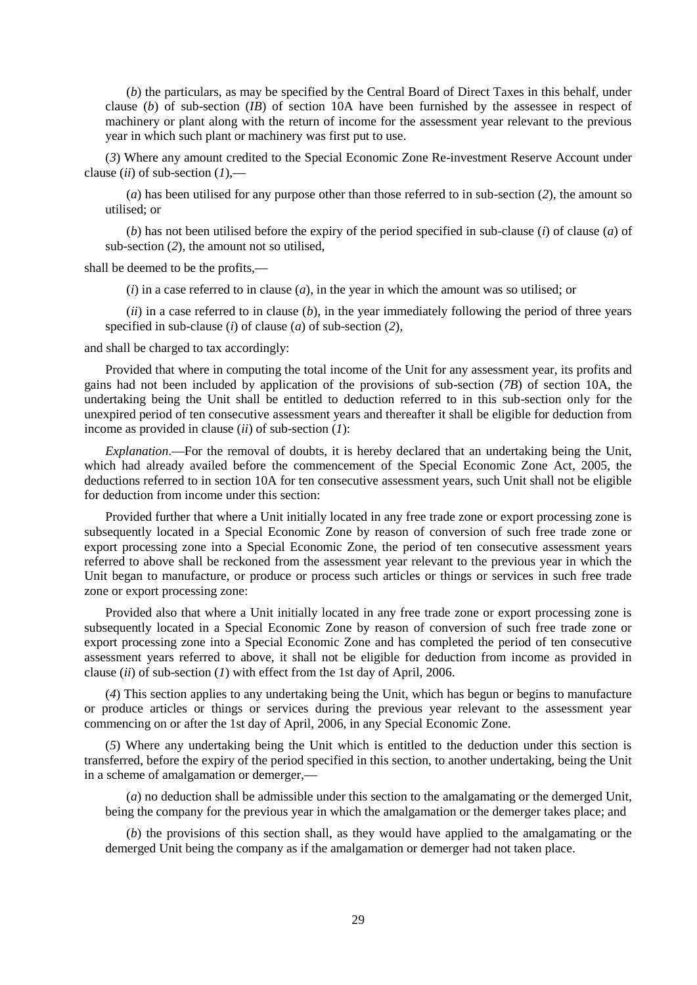(*b*) the particulars, as may be specified by the Central Board of Direct Taxes in this behalf, under clause (*b*) of sub-section (*IB*) of section 10A have been furnished by the assessee in respect of machinery or plant along with the return of income for the assessment year relevant to the previous year in which such plant or machinery was first put to use.

(*3*) Where any amount credited to the Special Economic Zone Re-investment Reserve Account under clause (*ii*) of sub-section (*1*),**—**

(*a*) has been utilised for any purpose other than those referred to in sub-section (*2*), the amount so utilised; or

(*b*) has not been utilised before the expiry of the period specified in sub-clause (*i*) of clause (*a*) of sub-section (*2*), the amount not so utilised,

shall be deemed to be the profits,**—**

(*i*) in a case referred to in clause (*a*), in the year in which the amount was so utilised; or

(*ii*) in a case referred to in clause (*b*), in the year immediately following the period of three years specified in sub-clause (*i*) of clause (*a*) of sub-section (*2*),

and shall be charged to tax accordingly:

Provided that where in computing the total income of the Unit for any assessment year, its profits and gains had not been included by application of the provisions of sub-section (*7B*) of section 10A, the undertaking being the Unit shall be entitled to deduction referred to in this sub-section only for the unexpired period of ten consecutive assessment years and thereafter it shall be eligible for deduction from income as provided in clause (*ii*) of sub-section (*1*):

*Explanation*.**—**For the removal of doubts, it is hereby declared that an undertaking being the Unit, which had already availed before the commencement of the Special Economic Zone Act, 2005, the deductions referred to in section 10A for ten consecutive assessment years, such Unit shall not be eligible for deduction from income under this section:

Provided further that where a Unit initially located in any free trade zone or export processing zone is subsequently located in a Special Economic Zone by reason of conversion of such free trade zone or export processing zone into a Special Economic Zone, the period of ten consecutive assessment years referred to above shall be reckoned from the assessment year relevant to the previous year in which the Unit began to manufacture, or produce or process such articles or things or services in such free trade zone or export processing zone:

Provided also that where a Unit initially located in any free trade zone or export processing zone is subsequently located in a Special Economic Zone by reason of conversion of such free trade zone or export processing zone into a Special Economic Zone and has completed the period of ten consecutive assessment years referred to above, it shall not be eligible for deduction from income as provided in clause (*ii*) of sub-section (*1*) with effect from the 1st day of April, 2006.

(*4*) This section applies to any undertaking being the Unit, which has begun or begins to manufacture or produce articles or things or services during the previous year relevant to the assessment year commencing on or after the 1st day of April, 2006, in any Special Economic Zone.

(*5*) Where any undertaking being the Unit which is entitled to the deduction under this section is transferred, before the expiry of the period specified in this section, to another undertaking, being the Unit in a scheme of amalgamation or demerger,**—**

(*a*) no deduction shall be admissible under this section to the amalgamating or the demerged Unit, being the company for the previous year in which the amalgamation or the demerger takes place; and

(*b*) the provisions of this section shall, as they would have applied to the amalgamating or the demerged Unit being the company as if the amalgamation or demerger had not taken place.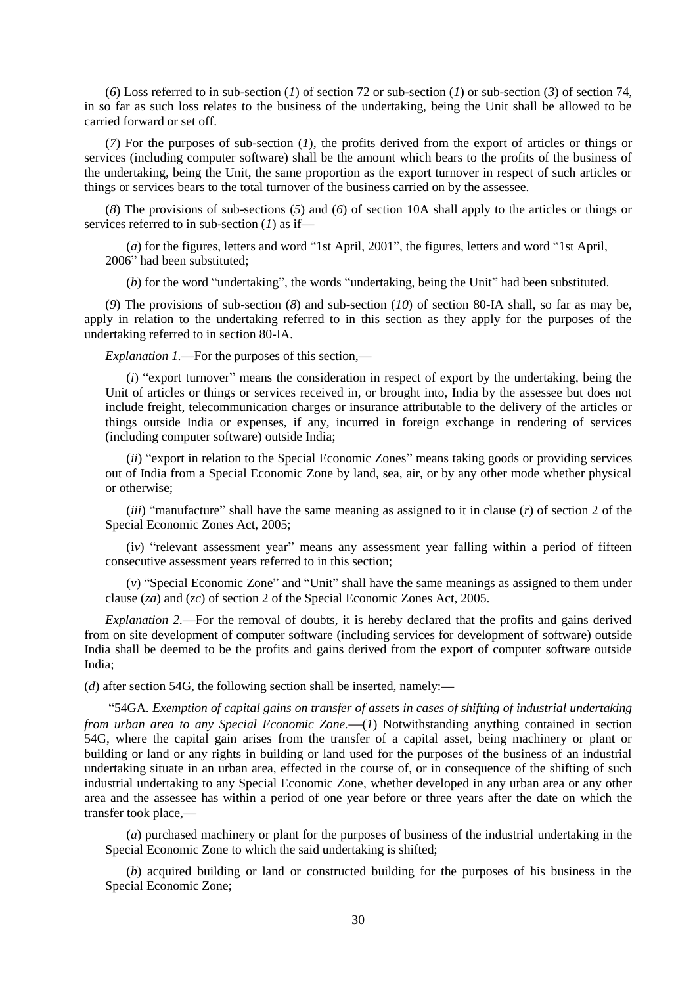(*6*) Loss referred to in sub-section (*1*) of section 72 or sub-section (*1*) or sub-section (*3*) of section 74, in so far as such loss relates to the business of the undertaking, being the Unit shall be allowed to be carried forward or set off.

(*7*) For the purposes of sub-section (*1*), the profits derived from the export of articles or things or services (including computer software) shall be the amount which bears to the profits of the business of the undertaking, being the Unit, the same proportion as the export turnover in respect of such articles or things or services bears to the total turnover of the business carried on by the assessee.

(*8*) The provisions of sub-sections (*5*) and (*6*) of section 10A shall apply to the articles or things or services referred to in sub-section (*1*) as if**—**

(*a*) for the figures, letters and word "1st April, 2001", the figures, letters and word "1st April, 2006" had been substituted;

(*b*) for the word "undertaking", the words "undertaking, being the Unit" had been substituted.

(*9*) The provisions of sub-section (*8*) and sub-section (*10*) of section 80-IA shall, so far as may be, apply in relation to the undertaking referred to in this section as they apply for the purposes of the undertaking referred to in section 80-IA.

*Explanation 1.***—**For the purposes of this section,**—**

(*i*) "export turnover" means the consideration in respect of export by the undertaking, being the Unit of articles or things or services received in, or brought into, India by the assessee but does not include freight, telecommunication charges or insurance attributable to the delivery of the articles or things outside India or expenses, if any, incurred in foreign exchange in rendering of services (including computer software) outside India;

(*ii*) "export in relation to the Special Economic Zones" means taking goods or providing services out of India from a Special Economic Zone by land, sea, air, or by any other mode whether physical or otherwise;

(*iii*) "manufacture" shall have the same meaning as assigned to it in clause (*r*) of section 2 of the Special Economic Zones Act, 2005;

(i*v*) "relevant assessment year" means any assessment year falling within a period of fifteen consecutive assessment years referred to in this section;

(*v*) "Special Economic Zone" and "Unit" shall have the same meanings as assigned to them under clause (*za*) and (*zc*) of section 2 of the Special Economic Zones Act, 2005.

*Explanation 2.***—**For the removal of doubts, it is hereby declared that the profits and gains derived from on site development of computer software (including services for development of software) outside India shall be deemed to be the profits and gains derived from the export of computer software outside India;

(*d*) after section 54G, the following section shall be inserted, namely:**—**

"54GA. *Exemption of capital gains on transfer of assets in cases of shifting of industrial undertaking from urban area to any Special Economic Zone.***—**(*1*) Notwithstanding anything contained in section 54G, where the capital gain arises from the transfer of a capital asset, being machinery or plant or building or land or any rights in building or land used for the purposes of the business of an industrial undertaking situate in an urban area, effected in the course of, or in consequence of the shifting of such industrial undertaking to any Special Economic Zone, whether developed in any urban area or any other area and the assessee has within a period of one year before or three years after the date on which the transfer took place,**—**

(*a*) purchased machinery or plant for the purposes of business of the industrial undertaking in the Special Economic Zone to which the said undertaking is shifted;

(*b*) acquired building or land or constructed building for the purposes of his business in the Special Economic Zone;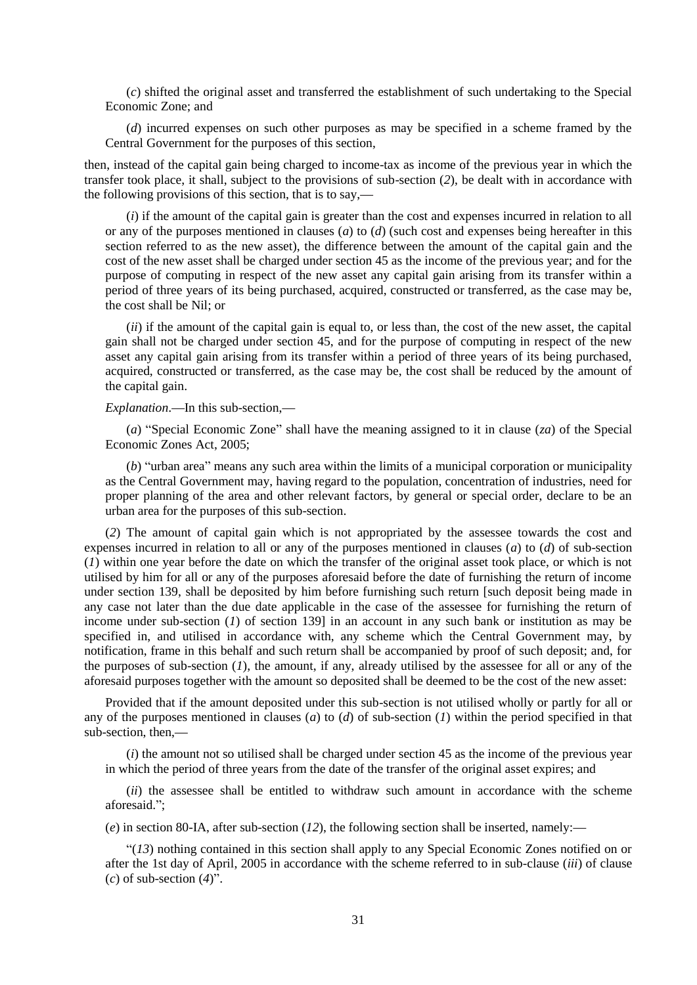(*c*) shifted the original asset and transferred the establishment of such undertaking to the Special Economic Zone; and

(*d*) incurred expenses on such other purposes as may be specified in a scheme framed by the Central Government for the purposes of this section,

then, instead of the capital gain being charged to income-tax as income of the previous year in which the transfer took place, it shall, subject to the provisions of sub-section (*2*), be dealt with in accordance with the following provisions of this section, that is to say,**—**

(*i*) if the amount of the capital gain is greater than the cost and expenses incurred in relation to all or any of the purposes mentioned in clauses (*a*) to (*d*) (such cost and expenses being hereafter in this section referred to as the new asset), the difference between the amount of the capital gain and the cost of the new asset shall be charged under section 45 as the income of the previous year; and for the purpose of computing in respect of the new asset any capital gain arising from its transfer within a period of three years of its being purchased, acquired, constructed or transferred, as the case may be, the cost shall be Nil; or

(*ii*) if the amount of the capital gain is equal to, or less than, the cost of the new asset, the capital gain shall not be charged under section 45, and for the purpose of computing in respect of the new asset any capital gain arising from its transfer within a period of three years of its being purchased, acquired, constructed or transferred, as the case may be, the cost shall be reduced by the amount of the capital gain.

# *Explanation*.**—**In this sub-section,**—**

(*a*) "Special Economic Zone" shall have the meaning assigned to it in clause (*za*) of the Special Economic Zones Act, 2005;

(*b*) "urban area" means any such area within the limits of a municipal corporation or municipality as the Central Government may, having regard to the population, concentration of industries, need for proper planning of the area and other relevant factors, by general or special order, declare to be an urban area for the purposes of this sub-section.

(*2*) The amount of capital gain which is not appropriated by the assessee towards the cost and expenses incurred in relation to all or any of the purposes mentioned in clauses (*a*) to (*d*) of sub-section (*1*) within one year before the date on which the transfer of the original asset took place, or which is not utilised by him for all or any of the purposes aforesaid before the date of furnishing the return of income under section 139, shall be deposited by him before furnishing such return [such deposit being made in any case not later than the due date applicable in the case of the assessee for furnishing the return of income under sub-section (*1*) of section 139] in an account in any such bank or institution as may be specified in, and utilised in accordance with, any scheme which the Central Government may, by notification, frame in this behalf and such return shall be accompanied by proof of such deposit; and, for the purposes of sub-section (*1*), the amount, if any, already utilised by the assessee for all or any of the aforesaid purposes together with the amount so deposited shall be deemed to be the cost of the new asset:

Provided that if the amount deposited under this sub-section is not utilised wholly or partly for all or any of the purposes mentioned in clauses (*a*) to (*d*) of sub-section (*1*) within the period specified in that sub-section, then,**—**

(*i*) the amount not so utilised shall be charged under section 45 as the income of the previous year in which the period of three years from the date of the transfer of the original asset expires; and

(*ii*) the assessee shall be entitled to withdraw such amount in accordance with the scheme aforesaid.";

(*e*) in section 80-IA, after sub-section (*12*), the following section shall be inserted, namely:**—**

"(*13*) nothing contained in this section shall apply to any Special Economic Zones notified on or after the 1st day of April, 2005 in accordance with the scheme referred to in sub-clause (*iii*) of clause (*c*) of sub-section (*4*)".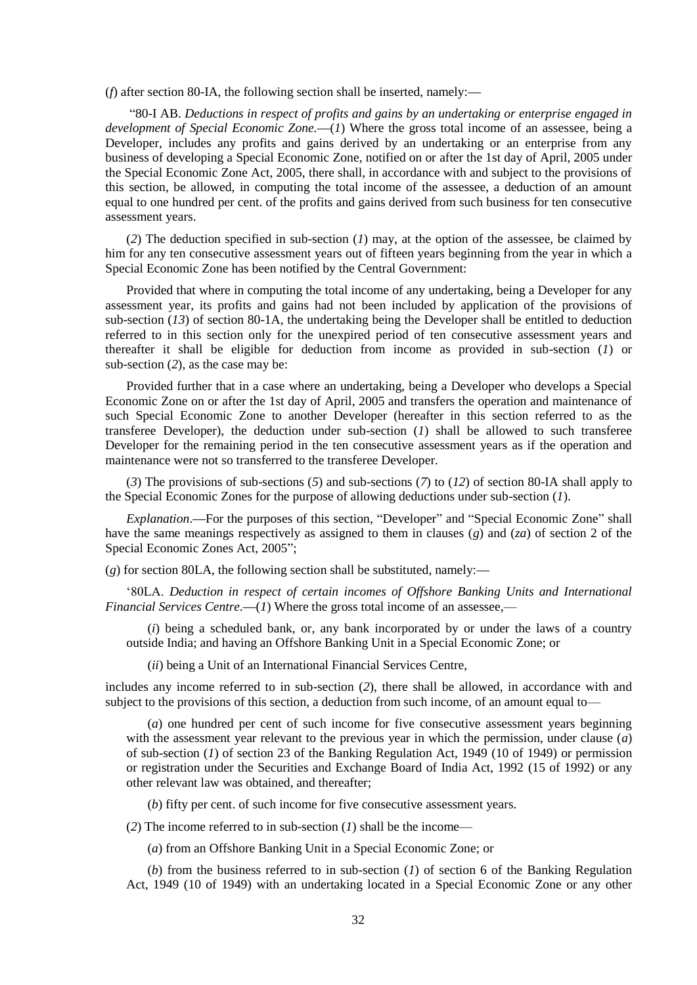(*f*) after section 80-IA, the following section shall be inserted, namely:**—**

"80-I AB. *Deductions in respect of profits and gains by an undertaking or enterprise engaged in development of Special Economic Zone.***—**(*1*) Where the gross total income of an assessee, being a Developer, includes any profits and gains derived by an undertaking or an enterprise from any business of developing a Special Economic Zone, notified on or after the 1st day of April, 2005 under the Special Economic Zone Act, 2005, there shall, in accordance with and subject to the provisions of this section, be allowed, in computing the total income of the assessee, a deduction of an amount equal to one hundred per cent. of the profits and gains derived from such business for ten consecutive assessment years.

(*2*) The deduction specified in sub-section (*1*) may, at the option of the assessee, be claimed by him for any ten consecutive assessment years out of fifteen years beginning from the year in which a Special Economic Zone has been notified by the Central Government:

Provided that where in computing the total income of any undertaking, being a Developer for any assessment year, its profits and gains had not been included by application of the provisions of sub-section (*13*) of section 80-1A, the undertaking being the Developer shall be entitled to deduction referred to in this section only for the unexpired period of ten consecutive assessment years and thereafter it shall be eligible for deduction from income as provided in sub-section (*1*) or sub-section (*2*), as the case may be:

Provided further that in a case where an undertaking, being a Developer who develops a Special Economic Zone on or after the 1st day of April, 2005 and transfers the operation and maintenance of such Special Economic Zone to another Developer (hereafter in this section referred to as the transferee Developer), the deduction under sub-section (*1*) shall be allowed to such transferee Developer for the remaining period in the ten consecutive assessment years as if the operation and maintenance were not so transferred to the transferee Developer.

(*3*) The provisions of sub-sections (*5*) and sub-sections (*7*) to (*12*) of section 80-IA shall apply to the Special Economic Zones for the purpose of allowing deductions under sub-section (*1*).

*Explanation*.**—**For the purposes of this section, "Developer" and "Special Economic Zone" shall have the same meanings respectively as assigned to them in clauses (*g*) and (*za*) of section 2 of the Special Economic Zones Act, 2005";

(*g*) for section 80LA, the following section shall be substituted, namely:**—**

"80LA. *Deduction in respect of certain incomes of Offshore Banking Units and International Financial Services Centre.*—(*1*) Where the gross total income of an assessee,—

(*i*) being a scheduled bank, or, any bank incorporated by or under the laws of a country outside India; and having an Offshore Banking Unit in a Special Economic Zone; or

(*ii*) being a Unit of an International Financial Services Centre,

includes any income referred to in sub-section (*2*), there shall be allowed, in accordance with and subject to the provisions of this section, a deduction from such income, of an amount equal to—

(*a*) one hundred per cent of such income for five consecutive assessment years beginning with the assessment year relevant to the previous year in which the permission, under clause (*a*) of sub-section (*1*) of section 23 of the Banking Regulation Act, 1949 (10 of 1949) or permission or registration under the Securities and Exchange Board of India Act, 1992 (15 of 1992) or any other relevant law was obtained, and thereafter;

(*b*) fifty per cent. of such income for five consecutive assessment years.

(*2*) The income referred to in sub-section (*1*) shall be the income—

(*a*) from an Offshore Banking Unit in a Special Economic Zone; or

(*b*) from the business referred to in sub-section (*1*) of section 6 of the Banking Regulation Act, 1949 (10 of 1949) with an undertaking located in a Special Economic Zone or any other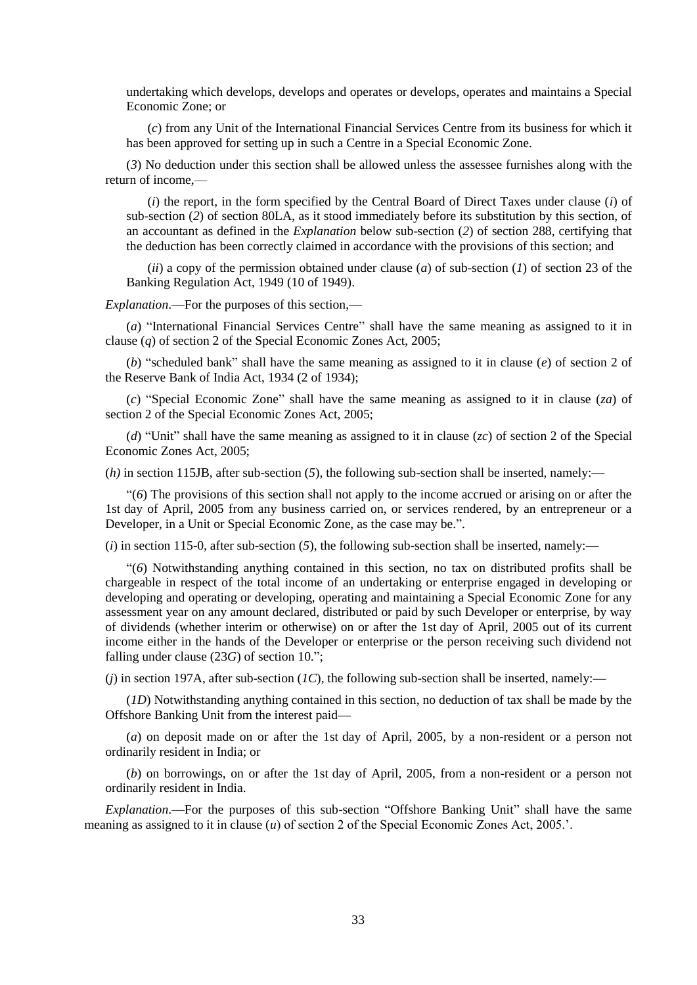undertaking which develops, develops and operates or develops, operates and maintains a Special Economic Zone; or

(*c*) from any Unit of the International Financial Services Centre from its business for which it has been approved for setting up in such a Centre in a Special Economic Zone.

(*3*) No deduction under this section shall be allowed unless the assessee furnishes along with the return of income,—

(*i*) the report, in the form specified by the Central Board of Direct Taxes under clause (*i*) of sub-section (*2*) of section 80LA, as it stood immediately before its substitution by this section, of an accountant as defined in the *Explanation* below sub-section (*2*) of section 288, certifying that the deduction has been correctly claimed in accordance with the provisions of this section; and

(*ii*) a copy of the permission obtained under clause (*a*) of sub-section (*1*) of section 23 of the Banking Regulation Act, 1949 (10 of 1949).

*Explanation*.—For the purposes of this section,—

(*a*) "International Financial Services Centre" shall have the same meaning as assigned to it in clause (*q*) of section 2 of the Special Economic Zones Act, 2005;

(*b*) "scheduled bank" shall have the same meaning as assigned to it in clause (*e*) of section 2 of the Reserve Bank of India Act, 1934 (2 of 1934);

(*c*) "Special Economic Zone" shall have the same meaning as assigned to it in clause (*za*) of section 2 of the Special Economic Zones Act, 2005;

(*d*) "Unit" shall have the same meaning as assigned to it in clause (*zc*) of section 2 of the Special Economic Zones Act, 2005;

(*h)* in section 115JB, after sub-section (*5*), the following sub-section shall be inserted, namely:**—**

"(*6*) The provisions of this section shall not apply to the income accrued or arising on or after the 1st day of April, 2005 from any business carried on, or services rendered, by an entrepreneur or a Developer, in a Unit or Special Economic Zone, as the case may be.".

(*i*) in section 115-0*,* after sub-section (*5*), the following sub-section shall be inserted, namely:**—**

"(*6*) Notwithstanding anything contained in this section, no tax on distributed profits shall be chargeable in respect of the total income of an undertaking or enterprise engaged in developing or developing and operating or developing, operating and maintaining a Special Economic Zone for any assessment year on any amount declared, distributed or paid by such Developer or enterprise, by way of dividends (whether interim or otherwise) on or after the 1st day of April, 2005 out of its current income either in the hands of the Developer or enterprise or the person receiving such dividend not falling under clause (23*G*) of section 10.";

(*j*) in section 197A, after sub-section (*1C*), the following sub-section shall be inserted, namely:**—**

(*1D*) Notwithstanding anything contained in this section, no deduction of tax shall be made by the Offshore Banking Unit from the interest paid**—**

(*a*) on deposit made on or after the 1st day of April, 2005, by a non-resident or a person not ordinarily resident in India; or

(*b*) on borrowings, on or after the 1st day of April, 2005, from a non-resident or a person not ordinarily resident in India.

*Explanation*.**—**For the purposes of this sub-section "Offshore Banking Unit" shall have the same meaning as assigned to it in clause (*u*) of section 2 of the Special Economic Zones Act, 2005.'.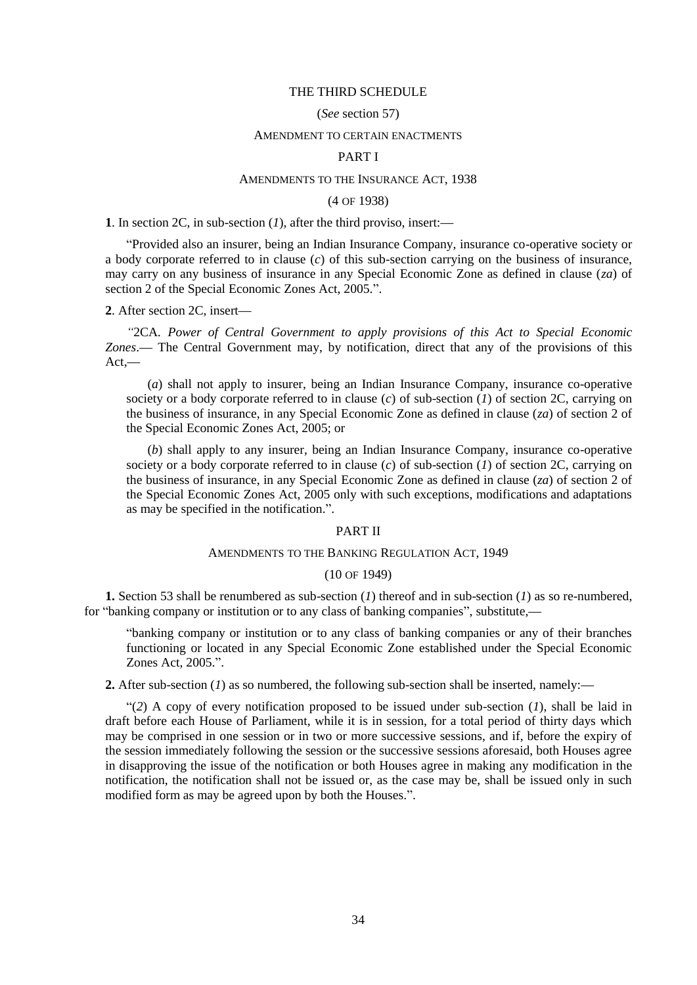#### THE THIRD SCHEDULE

### (*See* section 57)

#### AMENDMENT TO CERTAIN ENACTMENTS

#### PART I

## AMENDMENTS TO THE INSURANCE ACT, 1938

### (4 OF 1938)

**1**. In section 2C, in sub-section (*1*), after the third proviso, insert:**—**

"Provided also an insurer, being an Indian Insurance Company, insurance co-operative society or a body corporate referred to in clause (*c*) of this sub-section carrying on the business of insurance, may carry on any business of insurance in any Special Economic Zone as defined in clause (*za*) of section 2 of the Special Economic Zones Act, 2005.".

**2**. After section 2C, insert**—**

*"*2CA*. Power of Central Government to apply provisions of this Act to Special Economic Zones*.**—** The Central Government may, by notification, direct that any of the provisions of this Act,**—**

(*a*) shall not apply to insurer, being an Indian Insurance Company, insurance co-operative society or a body corporate referred to in clause  $(c)$  of sub-section  $(I)$  of section 2C, carrying on the business of insurance, in any Special Economic Zone as defined in clause (*za*) of section 2 of the Special Economic Zones Act, 2005; or

(*b*) shall apply to any insurer, being an Indian Insurance Company, insurance co-operative society or a body corporate referred to in clause  $(c)$  of sub-section  $(I)$  of section  $2C$ , carrying on the business of insurance, in any Special Economic Zone as defined in clause (*za*) of section 2 of the Special Economic Zones Act, 2005 only with such exceptions, modifications and adaptations as may be specified in the notification.".

### PART II

#### AMENDMENTS TO THE BANKING REGULATION ACT, 1949

#### (10 OF 1949)

**1.** Section 53 shall be renumbered as sub-section (*1*) thereof and in sub-section (*1*) as so re-numbered, for "banking company or institution or to any class of banking companies", substitute,**—**

"banking company or institution or to any class of banking companies or any of their branches functioning or located in any Special Economic Zone established under the Special Economic Zones Act, 2005.".

**2.** After sub-section (*1*) as so numbered, the following sub-section shall be inserted, namely:**—**

"(*2*) A copy of every notification proposed to be issued under sub-section (*1*), shall be laid in draft before each House of Parliament, while it is in session, for a total period of thirty days which may be comprised in one session or in two or more successive sessions, and if, before the expiry of the session immediately following the session or the successive sessions aforesaid, both Houses agree in disapproving the issue of the notification or both Houses agree in making any modification in the notification, the notification shall not be issued or, as the case may be, shall be issued only in such modified form as may be agreed upon by both the Houses.".